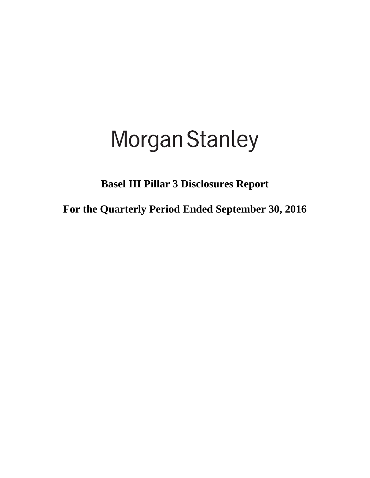# **Morgan Stanley**

**Basel III Pillar 3 Disclosures Report**

**For the Quarterly Period Ended September 30, 2016**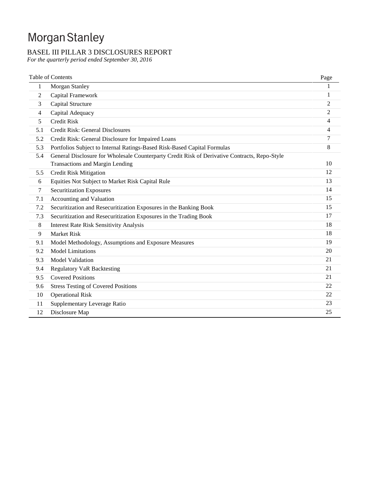# Morgan Stanley

# BASEL III PILLAR 3 DISCLOSURES REPORT

*For the quarterly period ended September 30, 2016*

|     | <b>Table of Contents</b>                                                                      | Page           |
|-----|-----------------------------------------------------------------------------------------------|----------------|
| 1   | Morgan Stanley                                                                                |                |
| 2   | Capital Framework                                                                             | 1              |
| 3   | Capital Structure                                                                             | 2              |
| 4   | Capital Adequacy                                                                              | $\overline{2}$ |
| 5   | <b>Credit Risk</b>                                                                            | 4              |
| 5.1 | Credit Risk: General Disclosures                                                              | 4              |
| 5.2 | Credit Risk: General Disclosure for Impaired Loans                                            | 7              |
| 5.3 | Portfolios Subject to Internal Ratings-Based Risk-Based Capital Formulas                      | 8              |
| 5.4 | General Disclosure for Wholesale Counterparty Credit Risk of Derivative Contracts, Repo-Style |                |
|     | <b>Transactions and Margin Lending</b>                                                        | 10             |
| 5.5 | <b>Credit Risk Mitigation</b>                                                                 | 12             |
| 6   | Equities Not Subject to Market Risk Capital Rule                                              | 13             |
| 7   | <b>Securitization Exposures</b>                                                               | 14             |
| 7.1 | Accounting and Valuation                                                                      | 15             |
| 7.2 | Securitization and Resecuritization Exposures in the Banking Book                             | 15             |
| 7.3 | Securitization and Resecuritization Exposures in the Trading Book                             | 17             |
| 8   | <b>Interest Rate Risk Sensitivity Analysis</b>                                                | 18             |
| 9   | <b>Market Risk</b>                                                                            | 18             |
| 9.1 | Model Methodology, Assumptions and Exposure Measures                                          | 19             |
| 9.2 | <b>Model Limitations</b>                                                                      | 20             |
| 9.3 | <b>Model Validation</b>                                                                       | 21             |
| 9.4 | <b>Regulatory VaR Backtesting</b>                                                             | 21             |
| 9.5 | <b>Covered Positions</b>                                                                      | 21             |
| 9.6 | <b>Stress Testing of Covered Positions</b>                                                    | 22             |
| 10  | <b>Operational Risk</b>                                                                       | 22             |
| 11  | Supplementary Leverage Ratio                                                                  | 23             |
| 12  | Disclosure Map                                                                                | 25             |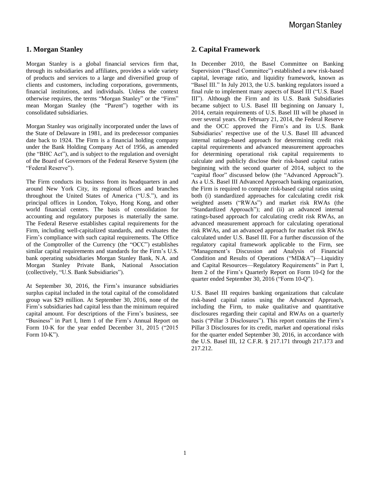# **1. Morgan Stanley**

Morgan Stanley is a global financial services firm that, through its subsidiaries and affiliates, provides a wide variety of products and services to a large and diversified group of clients and customers, including corporations, governments, financial institutions, and individuals. Unless the context otherwise requires, the terms "Morgan Stanley" or the "Firm" mean Morgan Stanley (the "Parent") together with its consolidated subsidiaries.

Morgan Stanley was originally incorporated under the laws of the State of Delaware in 1981, and its predecessor companies date back to 1924. The Firm is a financial holding company under the Bank Holding Company Act of 1956, as amended (the "BHC Act"), and is subject to the regulation and oversight of the Board of Governors of the Federal Reserve System (the "Federal Reserve").

The Firm conducts its business from its headquarters in and around New York City, its regional offices and branches throughout the United States of America ("U.S."), and its principal offices in London, Tokyo, Hong Kong, and other world financial centers. The basis of consolidation for accounting and regulatory purposes is materially the same. The Federal Reserve establishes capital requirements for the Firm, including well-capitalized standards, and evaluates the Firm's compliance with such capital requirements. The Office of the Comptroller of the Currency (the "OCC") establishes similar capital requirements and standards for the Firm's U.S. bank operating subsidiaries Morgan Stanley Bank, N.A. and Morgan Stanley Private Bank, National Association (collectively, "U.S. Bank Subsidiaries").

At September 30, 2016, the Firm's insurance subsidiaries surplus capital included in the total capital of the consolidated group was \$29 million. At September 30, 2016, none of the Firm's subsidiaries had capital less than the minimum required capital amount. For descriptions of the Firm's business, see "Business" in Part I, Item 1 of the Firm's Annual Report on Form 10-K for the year ended December 31, 2015 ("2015 Form 10-K").

# **2. Capital Framework**

In December 2010, the Basel Committee on Banking Supervision ("Basel Committee") established a new risk-based capital, leverage ratio, and liquidity framework, known as "Basel III." In July 2013, the U.S. banking regulators issued a final rule to implement many aspects of Basel III ("U.S. Basel III"). Although the Firm and its U.S. Bank Subsidiaries became subject to U.S. Basel III beginning on January 1, 2014, certain requirements of U.S. Basel III will be phased in over several years. On February 21, 2014, the Federal Reserve and the OCC approved the Firm's and its U.S. Bank Subsidiaries' respective use of the U.S. Basel III advanced internal ratings-based approach for determining credit risk capital requirements and advanced measurement approaches for determining operational risk capital requirements to calculate and publicly disclose their risk-based capital ratios beginning with the second quarter of 2014, subject to the "capital floor" discussed below (the "Advanced Approach"). As a U.S. Basel III Advanced Approach banking organization, the Firm is required to compute risk-based capital ratios using both (i) standardized approaches for calculating credit risk weighted assets ("RWAs") and market risk RWAs (the "Standardized Approach"); and (ii) an advanced internal ratings-based approach for calculating credit risk RWAs, an advanced measurement approach for calculating operational risk RWAs, and an advanced approach for market risk RWAs calculated under U.S. Basel III. For a further discussion of the regulatory capital framework applicable to the Firm, see "Management's Discussion and Analysis of Financial Condition and Results of Operations ("MD&A")—Liquidity and Capital Resources—Regulatory Requirements" in Part I, Item 2 of the Firm's Quarterly Report on Form 10-Q for the quarter ended September 30, 2016 ("Form 10-Q").

U.S. Basel III requires banking organizations that calculate risk-based capital ratios using the Advanced Approach, including the Firm, to make qualitative and quantitative disclosures regarding their capital and RWAs on a quarterly basis ("Pillar 3 Disclosures"). This report contains the Firm's Pillar 3 Disclosures for its credit, market and operational risks for the quarter ended September 30, 2016, in accordance with the U.S. Basel III, 12 C.F.R. § 217.171 through 217.173 and 217.212.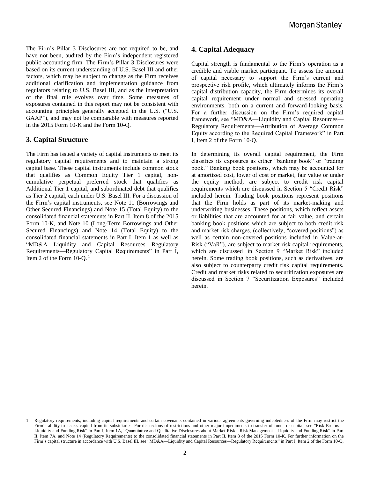The Firm's Pillar 3 Disclosures are not required to be, and have not been, audited by the Firm's independent registered public accounting firm. The Firm's Pillar 3 Disclosures were based on its current understanding of U.S. Basel III and other factors, which may be subject to change as the Firm receives additional clarification and implementation guidance from regulators relating to U.S. Basel III, and as the interpretation of the final rule evolves over time. Some measures of exposures contained in this report may not be consistent with accounting principles generally accepted in the U.S. ("U.S. GAAP"), and may not be comparable with measures reported in the 2015 Form 10-K and the Form 10-Q.

# **3. Capital Structure**

The Firm has issued a variety of capital instruments to meet its regulatory capital requirements and to maintain a strong capital base. These capital instruments include common stock that qualifies as Common Equity Tier 1 capital, noncumulative perpetual preferred stock that qualifies as Additional Tier 1 capital, and subordinated debt that qualifies as Tier 2 capital, each under U.S. Basel III. For a discussion of the Firm's capital instruments, see Note 11 (Borrowings and Other Secured Financings) and Note 15 (Total Equity) to the consolidated financial statements in Part II, Item 8 of the 2015 Form 10-K, and Note 10 (Long-Term Borrowings and Other Secured Financings) and Note 14 (Total Equity) to the consolidated financial statements in Part I, Item 1 as well as "MD&A—Liquidity and Capital Resources—Regulatory Requirements—Regulatory Capital Requirements" in Part I, Item 2 of the Form  $10-Q$ .<sup>1</sup>

# **4. Capital Adequacy**

Capital strength is fundamental to the Firm's operation as a credible and viable market participant. To assess the amount of capital necessary to support the Firm's current and prospective risk profile, which ultimately informs the Firm's capital distribution capacity, the Firm determines its overall capital requirement under normal and stressed operating environments, both on a current and forward-looking basis. For a further discussion on the Firm's required capital framework, see "MD&A—Liquidity and Capital Resources— Regulatory Requirements—Attribution of Average Common Equity according to the Required Capital Framework" in Part I, Item 2 of the Form 10-Q.

In determining its overall capital requirement, the Firm classifies its exposures as either "banking book" or "trading book." Banking book positions, which may be accounted for at amortized cost, lower of cost or market, fair value or under the equity method, are subject to credit risk capital requirements which are discussed in Section 5 "Credit Risk" included herein. Trading book positions represent positions that the Firm holds as part of its market-making and underwriting businesses. These positions, which reflect assets or liabilities that are accounted for at fair value, and certain banking book positions which are subject to both credit risk and market risk charges, (collectively, "covered positions") as well as certain non-covered positions included in Value-at-Risk ("VaR"), are subject to market risk capital requirements, which are discussed in Section 9 "Market Risk" included herein. Some trading book positions, such as derivatives, are also subject to counterparty credit risk capital requirements. Credit and market risks related to securitization exposures are discussed in Section 7 "Securitization Exposures" included herein.

<sup>1.</sup> Regulatory requirements, including capital requirements and certain covenants contained in various agreements governing indebtedness of the Firm may restrict the Firm's ability to access capital from its subsidiaries. For discussions of restrictions and other major impediments to transfer of funds or capital, see "Risk Factors-Liquidity and Funding Risk" in Part I, Item 1A, "Quantitative and Qualitative Disclosures about Market Risk—Risk Management—Liquidity and Funding Risk" in Part II, Item 7A, and Note 14 (Regulatory Requirements) to the consolidated financial statements in Part II, Item 8 of the 2015 Form 10-K. For further information on the Firm's capital structure in accordance with U.S. Basel III, see "MD&A—Liquidity and Capital Resources—Regulatory Requirements" in Part I, Item 2 of the Form 10-Q.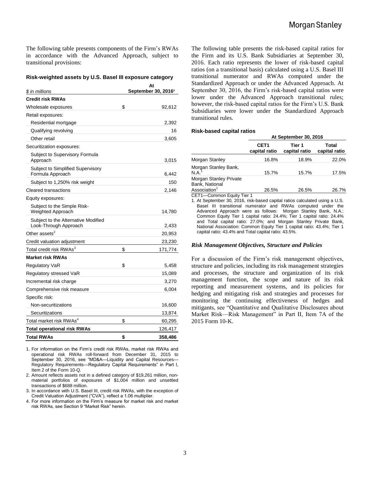The following table presents components of the Firm's RWAs in accordance with the Advanced Approach, subject to transitional provisions:

#### **Risk-weighted assets by U.S. Basel III exposure category**

| \$ in millions                                               | At<br>September 30, 2016 <sup>1</sup> |         |  |  |  |
|--------------------------------------------------------------|---------------------------------------|---------|--|--|--|
| <b>Credit risk RWAs</b>                                      |                                       |         |  |  |  |
| Wholesale exposures                                          | \$                                    | 92,612  |  |  |  |
| Retail exposures:                                            |                                       |         |  |  |  |
| Residential mortgage                                         |                                       | 2,392   |  |  |  |
| Qualifying revolving                                         |                                       | 16      |  |  |  |
| Other retail                                                 |                                       | 3,605   |  |  |  |
| Securitization exposures:                                    |                                       |         |  |  |  |
| Subject to Supervisory Formula<br>Approach                   |                                       | 3,015   |  |  |  |
| Subject to Simplified Supervisory<br>Formula Approach        |                                       | 6,442   |  |  |  |
| Subject to 1,250% risk weight                                |                                       | 150     |  |  |  |
| Cleared transactions                                         |                                       | 2,146   |  |  |  |
| Equity exposures:                                            |                                       |         |  |  |  |
| Subject to the Simple Risk-<br>Weighted Approach             |                                       | 14,780  |  |  |  |
| Subject to the Alternative Modified<br>Look-Through Approach |                                       | 2,433   |  |  |  |
| Other assets <sup>2</sup>                                    |                                       | 20,953  |  |  |  |
| Credit valuation adjustment                                  |                                       | 23,230  |  |  |  |
| Total credit risk RWAs <sup>3</sup>                          | \$                                    | 171,774 |  |  |  |
| <b>Market risk RWAs</b>                                      |                                       |         |  |  |  |
| <b>Regulatory VaR</b>                                        | \$                                    | 5,458   |  |  |  |
| Regulatory stressed VaR                                      |                                       | 15,089  |  |  |  |
| Incremental risk charge                                      |                                       | 3,270   |  |  |  |
| Comprehensive risk measure                                   |                                       | 6,004   |  |  |  |
| Specific risk:                                               |                                       |         |  |  |  |
| Non-securitizations                                          |                                       | 16,600  |  |  |  |
| Securitizations                                              |                                       | 13,874  |  |  |  |
| Total market risk RWAs <sup>4</sup>                          | \$                                    | 60,295  |  |  |  |
| <b>Total operational risk RWAs</b>                           |                                       | 126,417 |  |  |  |
| <b>Total RWAs</b>                                            | \$                                    | 358,486 |  |  |  |

1. For information on the Firm's credit risk RWAs, market risk RWAs and operational risk RWAs roll-forward from December 31, 2015 to September 30, 2016, see "MD&A—Liquidity and Capital Resources— Regulatory Requirements—Regulatory Capital Requirements" in Part I, Item 2 of the Form 10-Q.

- 2. Amount reflects assets not in a defined category of \$19,261 million, nonmaterial portfolios of exposures of \$1,004 million and unsettled transactions of \$688 million.
- 3. In accordance with U.S. Basel III, credit risk RWAs, with the exception of Credit Valuation Adjustment ("CVA"), reflect a 1.06 multiplier.
- 4. For more information on the Firm's measure for market risk and market risk RWAs, see Section 9 "Market Risk" herein.

The following table presents the risk-based capital ratios for the Firm and its U.S. Bank Subsidiaries at September 30, 2016. Each ratio represents the lower of risk-based capital ratios (on a transitional basis) calculated using a U.S. Basel III transitional numerator and RWAs computed under the Standardized Approach or under the Advanced Approach. At September 30, 2016, the Firm's risk-based capital ratios were lower under the Advanced Approach transitional rules; however, the risk-based capital ratios for the Firm's U.S. Bank Subsidiaries were lower under the Standardized Approach transitional rules.

#### **Risk-based capital ratios**

|                                                                             | At Septemper 30. ZUT6             |                         |                        |  |  |  |  |  |
|-----------------------------------------------------------------------------|-----------------------------------|-------------------------|------------------------|--|--|--|--|--|
|                                                                             | CET <sub>1</sub><br>capital ratio | Tier 1<br>capital ratio | Total<br>capital ratio |  |  |  |  |  |
| Morgan Stanley                                                              | 16.8%                             | 18.9%                   | 22.0%                  |  |  |  |  |  |
| Morgan Stanley Bank,<br>N.A. <sup>1</sup>                                   | 15.7%                             | 15.7%                   | 17.5%                  |  |  |  |  |  |
| <b>Morgan Stanley Private</b><br>Bank, National<br>Association <sup>1</sup> | 26.5%                             | 26.5%                   | 26.7%                  |  |  |  |  |  |
| CET1-Common Equity Tier 1                                                   |                                   |                         |                        |  |  |  |  |  |

**At September 30, 2016**

1. At September 30, 2016, risk-based capital ratios calculated using a U.S. Basel III transitional numerator and RWAs computed under the Advanced Approach were as follows: Morgan Stanley Bank, N.A.: Common Equity Tier 1 capital ratio: 24.4%; Tier 1 capital ratio: 24.4% and Total capital ratio: 27.0%; and Morgan Stanley Private Bank, National Association: Common Equity Tier 1 capital ratio: 43.4%; Tier 1 capital ratio: 43.4% and Total capital ratio: 43.5%.

#### *Risk Management Objectives, Structure and Policies*

For a discussion of the Firm's risk management objectives, structure and policies, including its risk management strategies and processes, the structure and organization of its risk management function, the scope and nature of its risk reporting and measurement systems, and its policies for hedging and mitigating risk and strategies and processes for monitoring the continuing effectiveness of hedges and mitigants, see "Quantitative and Qualitative Disclosures about Market Risk—Risk Management" in Part II, Item 7A of the 2015 Form 10-K.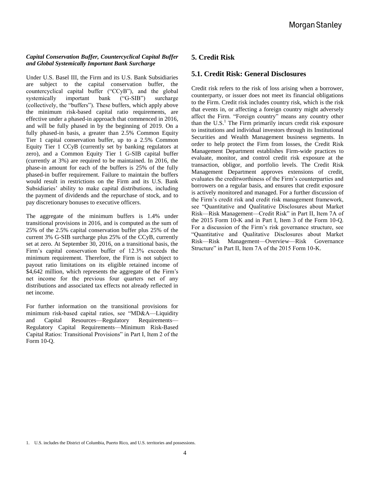#### *Capital Conservation Buffer, Countercyclical Capital Buffer and Global Systemically Important Bank Surcharge*

Under U.S. Basel III, the Firm and its U.S. Bank Subsidiaries are subject to the capital conservation buffer, the countercyclical capital buffer ("CCyB"), and the global systemically important bank ("G-SIB") surcharge (collectively, the "buffers"). These buffers, which apply above the minimum risk-based capital ratio requirements, are effective under a phased-in approach that commenced in 2016, and will be fully phased in by the beginning of 2019. On a fully phased-in basis, a greater than 2.5% Common Equity Tier 1 capital conservation buffer, up to a 2.5% Common Equity Tier 1 CCyB (currently set by banking regulators at zero), and a Common Equity Tier 1 G-SIB capital buffer (currently at 3%) are required to be maintained. In 2016, the phase-in amount for each of the buffers is 25% of the fully phased-in buffer requirement. Failure to maintain the buffers would result in restrictions on the Firm and its U.S. Bank Subsidiaries' ability to make capital distributions, including the payment of dividends and the repurchase of stock, and to pay discretionary bonuses to executive officers.

The aggregate of the minimum buffers is 1.4% under transitional provisions in 2016, and is computed as the sum of 25% of the 2.5% capital conservation buffer plus 25% of the current 3% G-SIB surcharge plus 25% of the CCyB, currently set at zero. At September 30, 2016, on a transitional basis, the Firm's capital conservation buffer of 12.3% exceeds the minimum requirement. Therefore, the Firm is not subject to payout ratio limitations on its eligible retained income of \$4,642 million, which represents the aggregate of the Firm's net income for the previous four quarters net of any distributions and associated tax effects not already reflected in net income.

For further information on the transitional provisions for minimum risk-based capital ratios, see "MD&A—Liquidity and Capital Resources—Regulatory Requirements— Regulatory Capital Requirements—Minimum Risk-Based Capital Ratios: Transitional Provisions" in Part I, Item 2 of the Form 10-Q.

# **5. Credit Risk**

## **5.1. Credit Risk: General Disclosures**

Credit risk refers to the risk of loss arising when a borrower, counterparty, or issuer does not meet its financial obligations to the Firm. Credit risk includes country risk, which is the risk that events in, or affecting a foreign country might adversely affect the Firm. "Foreign country" means any country other than the  $U.S.<sup>1</sup>$  The Firm primarily incurs credit risk exposure to institutions and individual investors through its Institutional Securities and Wealth Management business segments. In order to help protect the Firm from losses, the Credit Risk Management Department establishes Firm-wide practices to evaluate, monitor, and control credit risk exposure at the transaction, obligor, and portfolio levels. The Credit Risk Management Department approves extensions of credit, evaluates the creditworthiness of the Firm's counterparties and borrowers on a regular basis, and ensures that credit exposure is actively monitored and managed. For a further discussion of the Firm's credit risk and credit risk management framework, see "Quantitative and Qualitative Disclosures about Market Risk—Risk Management—Credit Risk" in Part II, Item 7A of the 2015 Form 10-K and in Part I, Item 3 of the Form 10-Q. For a discussion of the Firm's risk governance structure, see "Quantitative and Qualitative Disclosures about Market Risk—Risk Management—Overview—Risk Governance Structure" in Part II, Item 7A of the 2015 Form 10-K.

<sup>1.</sup> U.S. includes the District of Columbia, Puerto Rico, and U.S. territories and possessions.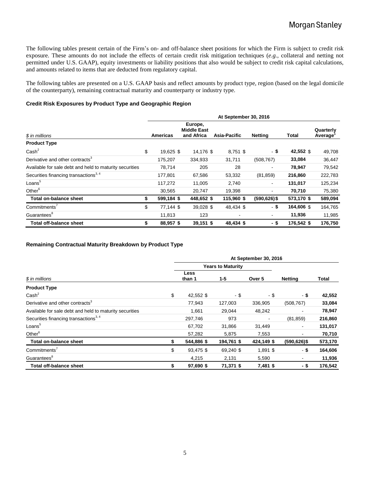The following tables present certain of the Firm's on- and off-balance sheet positions for which the Firm is subject to credit risk exposure. These amounts do not include the effects of certain credit risk mitigation techniques (*e.g.*, collateral and netting not permitted under U.S. GAAP), equity investments or liability positions that also would be subject to credit risk capital calculations, and amounts related to items that are deducted from regulatory capital.

The following tables are presented on a U.S. GAAP basis and reflect amounts by product type, region (based on the legal domicile of the counterparty), remaining contractual maturity and counterparty or industry type.

#### **Credit Risk Exposures by Product Type and Geographic Region**

|                                                         | At September 30, 2016 |                 |                                             |  |                          |                              |              |                      |  |  |
|---------------------------------------------------------|-----------------------|-----------------|---------------------------------------------|--|--------------------------|------------------------------|--------------|----------------------|--|--|
| \$ in millions                                          |                       | <b>Americas</b> | Europe,<br><b>Middle East</b><br>and Africa |  | Asia-Pacific             | <b>Netting</b>               | <b>Total</b> | Quarterly<br>Average |  |  |
| <b>Product Type</b>                                     |                       |                 |                                             |  |                          |                              |              |                      |  |  |
| Cash <sup>2</sup>                                       | \$                    | 19,625 \$       | 14,176 \$                                   |  | $8,751$ \$               | - \$                         | 42,552 \$    | 49,708               |  |  |
| Derivative and other contracts <sup>3</sup>             |                       | 175,207         | 334,933                                     |  | 31,711                   | (508, 767)                   | 33,084       | 36,447               |  |  |
| Available for sale debt and held to maturity securities |                       | 78,714          | 205                                         |  | 28                       | $\qquad \qquad \blacksquare$ | 78,947       | 79,542               |  |  |
| Securities financing transactions <sup>3, 4</sup>       |                       | 177,801         | 67,586                                      |  | 53,332                   | (81, 859)                    | 216,860      | 222,783              |  |  |
| Loans <sup>5</sup>                                      |                       | 117,272         | 11,005                                      |  | 2.740                    | $\blacksquare$               | 131,017      | 125,234              |  |  |
| Other $6$                                               |                       | 30,565          | 20,747                                      |  | 19,398                   | $\overline{\phantom{a}}$     | 70,710       | 75,380               |  |  |
| Total on-balance sheet                                  | \$                    | 599,184 \$      | 448,652 \$                                  |  | 115,960 \$               | $(590, 626)$ \$              | 573,170 \$   | 589,094              |  |  |
| Commitments'                                            | \$                    | 77.144 \$       | 39,028 \$                                   |  | 48,434 \$                | - \$                         | 164,606 \$   | 164,765              |  |  |
| Guarantees <sup>8</sup>                                 |                       | 11,813          | 123                                         |  | $\overline{\phantom{a}}$ | $\blacksquare$               | 11,936       | 11,985               |  |  |
| Total off-balance sheet                                 | \$                    | 88,957\$        | 39,151 \$                                   |  | 48,434 \$                | - \$                         | 176,542 \$   | 176,750              |  |  |

#### **Remaining Contractual Maturity Breakdown by Product Type**

|                                                         | At September 30, 2016 |                          |            |                |                          |              |  |  |  |  |
|---------------------------------------------------------|-----------------------|--------------------------|------------|----------------|--------------------------|--------------|--|--|--|--|
|                                                         |                       | <b>Years to Maturity</b> |            |                |                          |              |  |  |  |  |
| \$ in millions                                          |                       | Less<br>than 1           | $1 - 5$    | Over 5         | <b>Netting</b>           | <b>Total</b> |  |  |  |  |
| <b>Product Type</b>                                     |                       |                          |            |                |                          |              |  |  |  |  |
| Cash <sup>2</sup>                                       | \$                    | 42,552 \$                | - \$       | - \$           | - \$                     | 42,552       |  |  |  |  |
| Derivative and other contracts <sup>3</sup>             |                       | 77.943                   | 127,003    | 336,905        | (508, 767)               | 33,084       |  |  |  |  |
| Available for sale debt and held to maturity securities |                       | 1.661                    | 29,044     | 48,242         | $\overline{\phantom{a}}$ | 78,947       |  |  |  |  |
| Securities financing transactions <sup>3, 4</sup>       |                       | 297,746                  | 973        | $\blacksquare$ | (81, 859)                | 216,860      |  |  |  |  |
| Loans <sup>5</sup>                                      |                       | 67,702                   | 31,866     | 31,449         | $\sim$                   | 131,017      |  |  |  |  |
| Other <sup>6</sup>                                      |                       | 57,282                   | 5,875      | 7,553          | $\blacksquare$           | 70,710       |  |  |  |  |
| <b>Total on-balance sheet</b>                           |                       | 544,886 \$               | 194,761 \$ | 424,149 \$     | $(590, 626)$ \$          | 573,170      |  |  |  |  |
| Commitments <sup>7</sup>                                | \$                    | 93,475 \$                | 69,240 \$  | $1,891$ \$     | - \$                     | 164,606      |  |  |  |  |
| Guarantees <sup>8</sup>                                 |                       | 4,215                    | 2,131      | 5,590          | $\blacksquare$           | 11,936       |  |  |  |  |
| <b>Total off-balance sheet</b>                          |                       | 97,690 \$                | 71,371 \$  | 7,481 \$       | - \$                     | 176,542      |  |  |  |  |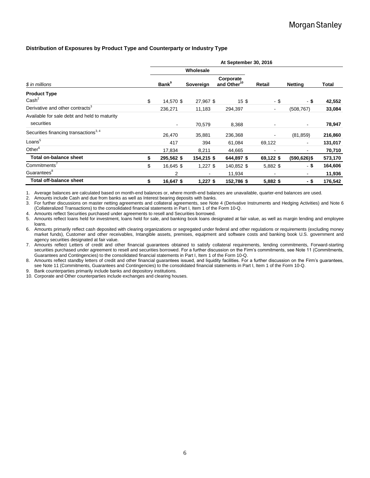#### **Distribution of Exposures by Product Type and Counterparty or Industry Type**

|                                                            | At September 30, 2016 |                          |                |                                      |                |                 |              |  |  |  |
|------------------------------------------------------------|-----------------------|--------------------------|----------------|--------------------------------------|----------------|-----------------|--------------|--|--|--|
|                                                            |                       |                          | Wholesale      |                                      |                |                 |              |  |  |  |
| \$ in millions                                             |                       | <b>Bank</b> <sup>9</sup> | Sovereign      | Corporate<br>and Other <sup>10</sup> | Retail         | <b>Netting</b>  | <b>Total</b> |  |  |  |
| <b>Product Type</b><br>$\text{Cash}^2$                     | \$                    | 14.570 \$                | 27,967 \$      | 15\$                                 | - \$           | - \$            | 42,552       |  |  |  |
| Derivative and other contracts <sup>3</sup>                |                       | 236,271                  | 11,183         | 294,397                              | $\blacksquare$ | (508, 767)      | 33,084       |  |  |  |
| Available for sale debt and held to maturity<br>securities |                       | $\blacksquare$           | 70,579         | 8,368                                |                | $\blacksquare$  | 78,947       |  |  |  |
| Securities financing transactions <sup>3,4</sup>           |                       | 26,470                   | 35,881         | 236,368                              |                | (81, 859)       | 216,860      |  |  |  |
| Loans <sup>5</sup>                                         |                       | 417                      | 394            | 61,084                               | 69,122         | $\blacksquare$  | 131,017      |  |  |  |
| Other <sup>6</sup>                                         |                       | 17,834                   | 8,211          | 44,665                               |                | ٠               | 70,710       |  |  |  |
| Total on-balance sheet                                     | \$                    | 295,562 \$               | 154,215 \$     | 644,897 \$                           | 69,122 \$      | $(590, 626)$ \$ | 573,170      |  |  |  |
| Commitments'                                               | \$                    | 16,645 \$                | $1,227$ \$     | 140,852 \$                           | 5,882 \$       | $-$ \$          | 164,606      |  |  |  |
| Guarantees <sup>8</sup>                                    |                       | 2                        | $\blacksquare$ | 11,934                               |                | $\blacksquare$  | 11,936       |  |  |  |
| Total off-balance sheet                                    | \$                    | 16,647 \$                | $1,227$ \$     | 152,786 \$                           | 5,882 \$       | - \$            | 176,542      |  |  |  |

1. Average balances are calculated based on month-end balances or, where month-end balances are unavailable, quarter-end balances are used.

2. Amounts include Cash and due from banks as well as Interest bearing deposits with banks.

3. For further discussions on master netting agreements and collateral agreements, see Note 4 (Derivative Instruments and Hedging Activities) and Note 6 (Collateralized Transactions) to the consolidated financial statements in Part I, Item 1 of the Form 10-Q.

4. Amounts reflect Securities purchased under agreements to resell and Securities borrowed.

5. Amounts reflect loans held for investment, loans held for sale, and banking book loans designated at fair value, as well as margin lending and employee loans.

6. Amounts primarily reflect cash deposited with clearing organizations or segregated under federal and other regulations or requirements (excluding money market funds), Customer and other receivables, Intangible assets, premises, equipment and software costs and banking book U.S. government and agency securities designated at fair value.

7. Amounts reflect Letters of credit and other financial guarantees obtained to satisfy collateral requirements, lending commitments, Forward-starting securities purchased under agreement to resell and securities borrowed. For a further discussion on the Firm's commitments, see Note 11 (Commitments, Guarantees and Contingencies) to the consolidated financial statements in Part I, Item 1 of the Form 10-Q.

8. Amounts reflect standby letters of credit and other financial guarantees issued, and liquidity facilities. For a further discussion on the Firm's guarantees, see Note 11 (Commitments, Guarantees and Contingencies) to the consolidated financial statements in Part I, Item 1 of the Form 10-Q.

9. Bank counterparties primarily include banks and depository institutions.

10. Corporate and Other counterparties include exchanges and clearing houses.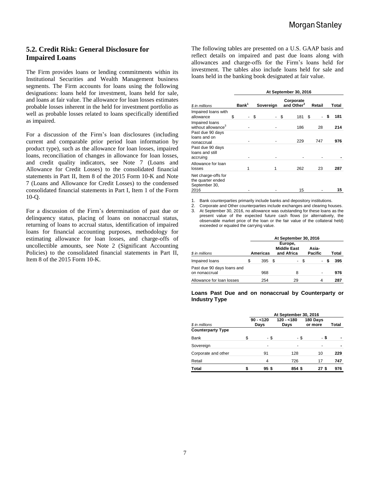# **5.2. Credit Risk: General Disclosure for Impaired Loans**

The Firm provides loans or lending commitments within its Institutional Securities and Wealth Management business segments. The Firm accounts for loans using the following designations: loans held for investment, loans held for sale, and loans at fair value. The allowance for loan losses estimates probable losses inherent in the held for investment portfolio as well as probable losses related to loans specifically identified as impaired.

For a discussion of the Firm's loan disclosures (including current and comparable prior period loan information by product type), such as the allowance for loan losses, impaired loans, reconciliation of changes in allowance for loan losses, and credit quality indicators, see Note 7 (Loans and Allowance for Credit Losses) to the consolidated financial statements in Part II, Item 8 of the 2015 Form 10-K and Note 7 (Loans and Allowance for Credit Losses) to the condensed consolidated financial statements in Part I, Item 1 of the Form 10-Q.

For a discussion of the Firm's determination of past due or delinquency status, placing of loans on nonaccrual status, returning of loans to accrual status, identification of impaired loans for financial accounting purposes, methodology for estimating allowance for loan losses, and charge-offs of uncollectible amounts, see Note 2 (Significant Accounting Policies) to the consolidated financial statements in Part II, Item 8 of the 2015 Form 10-K.

The following tables are presented on a U.S. GAAP basis and reflect details on impaired and past due loans along with allowances and charge-offs for the Firm's loans held for investment. The tables also include loans held for sale and loans held in the banking book designated at fair value.

|                                                                      | At September 30, 2016 |    |           |    |                                     |        |    |       |  |  |  |
|----------------------------------------------------------------------|-----------------------|----|-----------|----|-------------------------------------|--------|----|-------|--|--|--|
| \$ in millions                                                       | Bank <sup>1</sup>     |    | Sovereign |    | Corporate<br>and Other <sup>2</sup> | Retail |    | Total |  |  |  |
| Impaired loans with<br>allowance                                     | \$<br>$\blacksquare$  | \$ |           | \$ | 181                                 | \$     | \$ | 181   |  |  |  |
| Impaired loans<br>without allowance <sup>3</sup><br>Past due 90 days |                       |    |           |    | 186                                 | 28     |    | 214   |  |  |  |
| loans and on<br>nonaccrual                                           |                       |    |           |    | 229                                 | 747    |    | 976   |  |  |  |
| Past due 90 days<br>loans and still<br>accruing                      |                       |    |           |    |                                     |        |    |       |  |  |  |
| Allowance for loan<br>losses                                         | 1                     |    |           |    | 262                                 | 23     |    | 287   |  |  |  |
| Net charge-offs for<br>the quarter ended<br>September 30,<br>2016    |                       |    |           |    | 15                                  |        |    | 15    |  |  |  |

1. Bank counterparties primarily include banks and depository institutions.

2. Corporate and Other counterparties include exchanges and clearing houses.<br>3. At September 30, 2016, no allowance was outstanding for these loans as the At September 30, 2016, no allowance was outstanding for these loans as the present value of the expected future cash flows (or alternatively, the observable market price of the loan or the fair value of the collateral held) exceeded or equaled the carrying value.

|                                             | At September 30, 2016 |                 |                                             |      |  |                         |       |     |  |  |
|---------------------------------------------|-----------------------|-----------------|---------------------------------------------|------|--|-------------------------|-------|-----|--|--|
| \$ in millions                              |                       | <b>Americas</b> | Europe,<br><b>Middle East</b><br>and Africa |      |  | Asia-<br><b>Pacific</b> | Total |     |  |  |
| Impaired loans                              | S                     | 395             | - \$                                        | - \$ |  | $\sim$                  |       | 395 |  |  |
| Past due 90 days loans and<br>on nonaccrual |                       | 968             |                                             | 8    |  |                         |       | 976 |  |  |
| Allowance for loan losses                   |                       | 254             |                                             | 29   |  |                         |       | 287 |  |  |

#### **Loans Past Due and on nonaccrual by Counterparty or Industry Type**

|                          |   | At September 30, 2016 |                     |                     |       |  |  |  |  |  |
|--------------------------|---|-----------------------|---------------------|---------------------|-------|--|--|--|--|--|
| \$ in millions           |   | $90 - 120$<br>Days    | $120 - 180$<br>Days | 180 Days<br>or more | Total |  |  |  |  |  |
| <b>Counterparty Type</b> |   |                       |                     |                     |       |  |  |  |  |  |
| Bank                     | S | - \$                  | - \$                | - \$                |       |  |  |  |  |  |
| Sovereign                |   |                       |                     |                     |       |  |  |  |  |  |
| Corporate and other      |   | 91                    | 128                 | 10                  | 229   |  |  |  |  |  |
| Retail                   |   | 4                     | 726                 | 17                  | 747   |  |  |  |  |  |
| <b>Total</b>             |   | 95\$                  | 854\$               | 27 S                | 976   |  |  |  |  |  |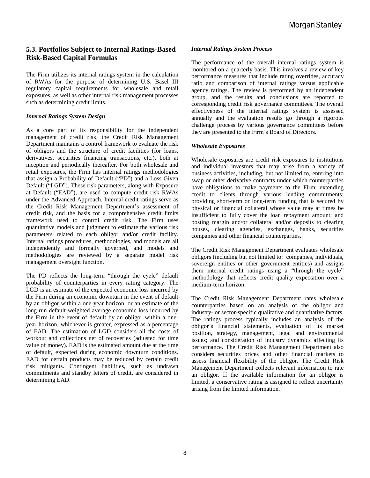# **5.3. Portfolios Subject to Internal Ratings-Based Risk-Based Capital Formulas**

The Firm utilizes its internal ratings system in the calculation of RWAs for the purpose of determining U.S. Basel III regulatory capital requirements for wholesale and retail exposures, as well as other internal risk management processes such as determining credit limits.

#### *Internal Ratings System Design*

As a core part of its responsibility for the independent management of credit risk, the Credit Risk Management Department maintains a control framework to evaluate the risk of obligors and the structure of credit facilities (for loans, derivatives, securities financing transactions, etc.), both at inception and periodically thereafter. For both wholesale and retail exposures, the Firm has internal ratings methodologies that assign a Probability of Default ("PD") and a Loss Given Default ("LGD"). These risk parameters, along with Exposure at Default ("EAD"), are used to compute credit risk RWAs under the Advanced Approach. Internal credit ratings serve as the Credit Risk Management Department's assessment of credit risk, and the basis for a comprehensive credit limits framework used to control credit risk. The Firm uses quantitative models and judgment to estimate the various risk parameters related to each obligor and/or credit facility. Internal ratings procedures, methodologies, and models are all independently and formally governed, and models and methodologies are reviewed by a separate model risk management oversight function.

The PD reflects the long-term "through the cycle" default probability of counterparties in every rating category. The LGD is an estimate of the expected economic loss incurred by the Firm during an economic downturn in the event of default by an obligor within a one-year horizon, or an estimate of the long-run default-weighted average economic loss incurred by the Firm in the event of default by an obligor within a oneyear horizon, whichever is greater, expressed as a percentage of EAD. The estimation of LGD considers all the costs of workout and collections net of recoveries (adjusted for time value of money). EAD is the estimated amount due at the time of default, expected during economic downturn conditions. EAD for certain products may be reduced by certain credit risk mitigants. Contingent liabilities, such as undrawn commitments and standby letters of credit, are considered in determining EAD.

#### *Internal Ratings System Process*

The performance of the overall internal ratings system is monitored on a quarterly basis. This involves a review of key performance measures that include rating overrides, accuracy ratio and comparison of internal ratings versus applicable agency ratings. The review is performed by an independent group, and the results and conclusions are reported to corresponding credit risk governance committees. The overall effectiveness of the internal ratings system is assessed annually and the evaluation results go through a rigorous challenge process by various governance committees before they are presented to the Firm's Board of Directors.

#### *Wholesale Exposures*

Wholesale exposures are credit risk exposures to institutions and individual investors that may arise from a variety of business activities, including, but not limited to, entering into swap or other derivative contracts under which counterparties have obligations to make payments to the Firm; extending credit to clients through various lending commitments; providing short-term or long-term funding that is secured by physical or financial collateral whose value may at times be insufficient to fully cover the loan repayment amount; and posting margin and/or collateral and/or deposits to clearing houses, clearing agencies, exchanges, banks, securities companies and other financial counterparties.

The Credit Risk Management Department evaluates wholesale obligors (including but not limited to: companies, individuals, sovereign entities or other government entities) and assigns them internal credit ratings using a "through the cycle" methodology that reflects credit quality expectation over a medium-term horizon.

The Credit Risk Management Department rates wholesale counterparties based on an analysis of the obligor and industry- or sector-specific qualitative and quantitative factors. The ratings process typically includes an analysis of the obligor's financial statements, evaluation of its market position, strategy, management, legal and environmental issues; and consideration of industry dynamics affecting its performance. The Credit Risk Management Department also considers securities prices and other financial markets to assess financial flexibility of the obligor. The Credit Risk Management Department collects relevant information to rate an obligor. If the available information for an obligor is limited, a conservative rating is assigned to reflect uncertainty arising from the limited information.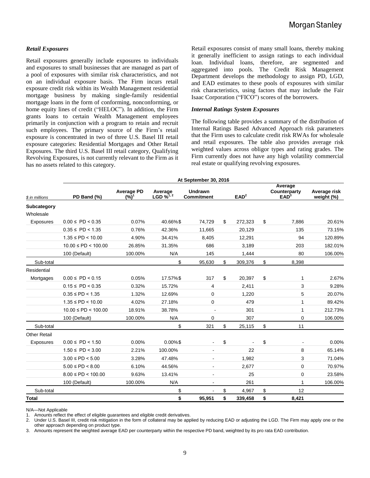#### *Retail Exposures*

Retail exposures generally include exposures to individuals and exposures to small businesses that are managed as part of a pool of exposures with similar risk characteristics, and not on an individual exposure basis. The Firm incurs retail exposure credit risk within its Wealth Management residential mortgage business by making single-family residential mortgage loans in the form of conforming, nonconforming, or home equity lines of credit ("HELOC"). In addition, the Firm grants loans to certain Wealth Management employees primarily in conjunction with a program to retain and recruit such employees. The primary source of the Firm's retail exposure is concentrated in two of three U.S. Basel III retail exposure categories: Residential Mortgages and Other Retail Exposures. The third U.S. Basel III retail category, Qualifying Revolving Exposures, is not currently relevant to the Firm as it has no assets related to this category.

Retail exposures consist of many small loans, thereby making it generally inefficient to assign ratings to each individual loan. Individual loans, therefore, are segmented and aggregated into pools. The Credit Risk Management Department develops the methodology to assign PD, LGD, and EAD estimates to these pools of exposures with similar risk characteristics, using factors that may include the Fair Isaac Corporation ("FICO") scores of the borrowers.

#### *Internal Ratings System Exposures*

The following table provides a summary of the distribution of Internal Ratings Based Advanced Approach risk parameters that the Firm uses to calculate credit risk RWAs for wholesale and retail exposures. The table also provides average risk weighted values across obligor types and rating grades. The Firm currently does not have any high volatility commercial real estate or qualifying revolving exposures.

|                          | At September 30, 2016     |                              |                                              |                                     |                  |         |    |                                             |                            |  |  |
|--------------------------|---------------------------|------------------------------|----------------------------------------------|-------------------------------------|------------------|---------|----|---------------------------------------------|----------------------------|--|--|
| \$ in millions           | PD Band (%)               | <b>Average PD</b><br>$(%)^1$ | Average<br>LGD $\frac{1}{2}$ <sup>1, 2</sup> | <b>Undrawn</b><br><b>Commitment</b> | EAD <sup>2</sup> |         |    | Average<br>Counterparty<br>EAD <sup>3</sup> | Average risk<br>weight (%) |  |  |
| Subcategory<br>Wholesale |                           |                              |                                              |                                     |                  |         |    |                                             |                            |  |  |
| Exposures                | $0.00 \leq P D \leq 0.35$ | 0.07%                        | 40.66%\$                                     | 74,729                              | \$               | 272,323 | \$ | 7.886                                       | 20.61%                     |  |  |
|                          | $0.35 \leq P D < 1.35$    | 0.76%                        | 42.36%                                       | 11,665                              |                  | 20,129  |    | 135                                         | 73.15%                     |  |  |
|                          | $1.35 \leq PD < 10.00$    | 4.90%                        | 34.41%                                       | 8,405                               |                  | 12,291  |    | 94                                          | 120.89%                    |  |  |
|                          | $10.00 \leq PD < 100.00$  | 26.85%                       | 31.35%                                       | 686                                 |                  | 3,189   |    | 203                                         | 182.01%                    |  |  |
|                          | 100 (Default)             | 100.00%                      | N/A                                          | 145                                 |                  | 1,444   |    | 80                                          | 106.00%                    |  |  |
| Sub-total                |                           |                              | \$                                           | 95,630                              | \$               | 309,376 | \$ | 8,398                                       |                            |  |  |
| Residential              |                           |                              |                                              |                                     |                  |         |    |                                             |                            |  |  |
| Mortgages                | $0.00 \leq P D \leq 0.15$ | 0.05%                        | 17.57%\$                                     | 317                                 | \$               | 20,397  | \$ | 1                                           | 2.67%                      |  |  |
|                          | $0.15 \leq P D < 0.35$    | 0.32%                        | 15.72%                                       | 4                                   |                  | 2,411   |    | 3                                           | 9.28%                      |  |  |
|                          | $0.35 \leq P D < 1.35$    | 1.32%                        | 12.69%                                       | 0                                   |                  | 1,220   |    | 5                                           | 20.07%                     |  |  |
|                          | $1.35 \leq PD < 10.00$    | 4.02%                        | 27.18%                                       | $\boldsymbol{0}$                    | 479              |         |    | $\mathbf{1}$                                | 89.42%                     |  |  |
|                          | $10.00 \leq PD < 100.00$  | 18.91%                       | 38.78%                                       | $\blacksquare$                      | 301              |         |    | 1                                           | 212.73%                    |  |  |
|                          | 100 (Default)             | 100.00%                      | N/A                                          | 0                                   |                  | 307     |    | 0                                           | 106.00%                    |  |  |
| Sub-total                |                           |                              | \$                                           | 321                                 | \$               | 25,115  | \$ | 11                                          |                            |  |  |
| <b>Other Retail</b>      |                           |                              |                                              |                                     |                  |         |    |                                             |                            |  |  |
| Exposures                | $0.00 \leq P D < 1.50$    | 0.00%                        | $0.00\%$ \$                                  |                                     | \$               |         | \$ |                                             | 0.00%                      |  |  |
|                          | $1.50 \leq P D < 3.00$    | 2.21%                        | 100.00%                                      |                                     |                  | 22      |    | 8                                           | 65.14%                     |  |  |
|                          | $3.00 \leq PD < 5.00$     | 3.28%                        | 47.48%                                       |                                     |                  | 1,982   |    | 3                                           | 71.04%                     |  |  |
|                          | $5.00 \leq PD < 8.00$     | 6.10%                        | 44.56%                                       |                                     |                  | 2,677   |    | $\mathbf 0$                                 | 70.97%                     |  |  |
|                          | $8.00 \leq PD < 100.00$   | 9.63%                        | 13.41%                                       |                                     |                  | 25      |    | $\mathbf 0$                                 | 23.58%                     |  |  |
|                          | 100 (Default)             | 100.00%                      | N/A                                          | $\blacksquare$                      |                  | 261     |    | 1                                           | 106.00%                    |  |  |
| Sub-total                |                           |                              | \$                                           |                                     | \$               | 4,967   | \$ | 12                                          |                            |  |  |
| <b>Total</b>             |                           |                              | \$                                           | 95,951                              | \$               | 339,458 | \$ | 8,421                                       |                            |  |  |

N/A—Not Applicable

1. Amounts reflect the effect of eligible guarantees and eligible credit derivatives.

2. Under U.S. Basel III, credit risk mitigation in the form of collateral may be applied by reducing EAD or adjusting the LGD. The Firm may apply one or the other approach depending on product type.

3. Amounts represent the weighted average EAD per counterparty within the respective PD band, weighted by its pro rata EAD contribution.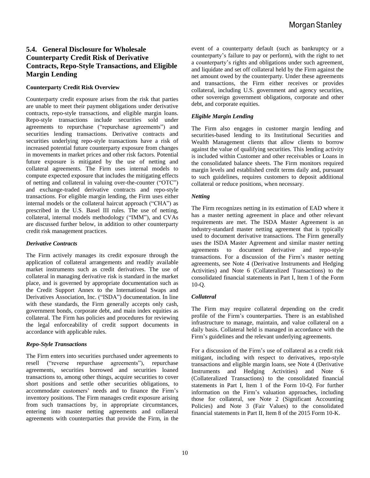# **5.4. General Disclosure for Wholesale Counterparty Credit Risk of Derivative Contracts, Repo-Style Transactions, and Eligible Margin Lending**

#### **Counterparty Credit Risk Overview**

Counterparty credit exposure arises from the risk that parties are unable to meet their payment obligations under derivative contracts, repo-style transactions, and eligible margin loans. Repo-style transactions include securities sold under agreements to repurchase ("repurchase agreements") and securities lending transactions. Derivative contracts and securities underlying repo-style transactions have a risk of increased potential future counterparty exposure from changes in movements in market prices and other risk factors. Potential future exposure is mitigated by the use of netting and collateral agreements. The Firm uses internal models to compute expected exposure that includes the mitigating effects of netting and collateral in valuing over-the-counter ("OTC") and exchange-traded derivative contracts and repo-style transactions. For eligible margin lending, the Firm uses either internal models or the collateral haircut approach ("CHA") as prescribed in the U.S. Basel III rules. The use of netting, collateral, internal models methodology ("IMM"), and CVAs are discussed further below, in addition to other counterparty credit risk management practices.

#### *Derivative Contracts*

The Firm actively manages its credit exposure through the application of collateral arrangements and readily available market instruments such as credit derivatives. The use of collateral in managing derivative risk is standard in the market place, and is governed by appropriate documentation such as the Credit Support Annex to the International Swaps and Derivatives Association, Inc. ("ISDA") documentation. In line with these standards, the Firm generally accepts only cash, government bonds, corporate debt, and main index equities as collateral. The Firm has policies and procedures for reviewing the legal enforceability of credit support documents in accordance with applicable rules.

#### *Repo-Style Transactions*

The Firm enters into securities purchased under agreements to resell ("reverse repurchase agreements"), repurchase agreements, securities borrowed and securities loaned transactions to, among other things, acquire securities to cover short positions and settle other securities obligations, to accommodate customers' needs and to finance the Firm's inventory positions. The Firm manages credit exposure arising from such transactions by, in appropriate circumstances, entering into master netting agreements and collateral agreements with counterparties that provide the Firm, in the

event of a counterparty default (such as bankruptcy or a counterparty's failure to pay or perform), with the right to net a counterparty's rights and obligations under such agreement, and liquidate and set off collateral held by the Firm against the net amount owed by the counterparty. Under these agreements and transactions, the Firm either receives or provides collateral, including U.S. government and agency securities, other sovereign government obligations, corporate and other debt, and corporate equities.

#### *Eligible Margin Lending*

The Firm also engages in customer margin lending and securities-based lending to its Institutional Securities and Wealth Management clients that allow clients to borrow against the value of qualifying securities. This lending activity is included within Customer and other receivables or Loans in the consolidated balance sheets. The Firm monitors required margin levels and established credit terms daily and, pursuant to such guidelines, requires customers to deposit additional collateral or reduce positions, when necessary.

#### *Netting*

The Firm recognizes netting in its estimation of EAD where it has a master netting agreement in place and other relevant requirements are met. The ISDA Master Agreement is an industry-standard master netting agreement that is typically used to document derivative transactions. The Firm generally uses the ISDA Master Agreement and similar master netting agreements to document derivative and repo-style transactions. For a discussion of the Firm's master netting agreements, see Note 4 (Derivative Instruments and Hedging Activities) and Note 6 (Collateralized Transactions) to the consolidated financial statements in Part I, Item 1 of the Form 10-Q.

#### *Collateral*

The Firm may require collateral depending on the credit profile of the Firm's counterparties. There is an established infrastructure to manage, maintain, and value collateral on a daily basis. Collateral held is managed in accordance with the Firm's guidelines and the relevant underlying agreements.

For a discussion of the Firm's use of collateral as a credit risk mitigant, including with respect to derivatives, repo-style transactions and eligible margin loans, see Note 4 (Derivative Instruments and Hedging Activities) and Note 6 (Collateralized Transactions) to the consolidated financial statements in Part I, Item 1 of the Form 10-Q. For further information on the Firm's valuation approaches, including those for collateral, see Note 2 (Significant Accounting Policies) and Note 3 (Fair Values) to the consolidated financial statements in Part II, Item 8 of the 2015 Form 10-K.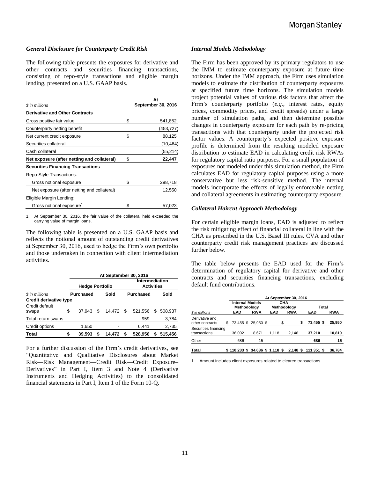#### *General Disclosure for Counterparty Credit Risk*

The following table presents the exposures for derivative and other contracts and securities financing transactions, consisting of repo-style transactions and eligible margin lending, presented on a U.S. GAAP basis.

**At** 

| \$ in millions                              |    | Aτ<br>September 30, 2016 |
|---------------------------------------------|----|--------------------------|
| <b>Derivative and Other Contracts</b>       |    |                          |
| Gross positive fair value                   | \$ | 541,852                  |
| Counterparty netting benefit                |    | (453,727)                |
| Net current credit exposure                 | \$ | 88,125                   |
| Securities collateral                       |    | (10, 464)                |
| Cash collateral                             |    | (55, 214)                |
| Net exposure (after netting and collateral) | S  | 22,447                   |
| <b>Securities Financing Transactions</b>    |    |                          |
| Repo-Style Transactions:                    |    |                          |
| Gross notional exposure                     | \$ | 298,718                  |
| Net exposure (after netting and collateral) |    | 12,550                   |
| Eligible Margin Lending:                    |    |                          |
| Gross notional exposure <sup>1</sup>        | \$ | 57,023                   |

1. At September 30, 2016, the fair value of the collateral held exceeded the carrying value of margin loans.

The following table is presented on a U.S. GAAP basis and reflects the notional amount of outstanding credit derivatives at September 30, 2016, used to hedge the Firm's own portfolio and those undertaken in connection with client intermediation activities.

|                               | At September 30, 2016 |                        |   |        |      |                                     |    |         |  |  |  |
|-------------------------------|-----------------------|------------------------|---|--------|------|-------------------------------------|----|---------|--|--|--|
|                               |                       | <b>Hedge Portfolio</b> |   |        |      | Intermediation<br><b>Activities</b> |    |         |  |  |  |
| \$ in millions                |                       | <b>Purchased</b>       |   | Sold   |      | <b>Purchased</b>                    |    | Sold    |  |  |  |
| <b>Credit derivative type</b> |                       |                        |   |        |      |                                     |    |         |  |  |  |
| Credit default<br>swaps       | \$                    | 37.943                 | S | 14.472 | - \$ | 521.556                             | S  | 508,937 |  |  |  |
| Total return swaps            |                       |                        |   |        |      | 959                                 |    | 3,784   |  |  |  |
| Credit options                |                       | 1,650                  |   |        |      | 6.441                               |    | 2,735   |  |  |  |
| <b>Total</b>                  | \$                    | 39.593                 |   | 14.472 |      | 528.956                             | \$ | 515,456 |  |  |  |

For a further discussion of the Firm's credit derivatives, see "Quantitative and Qualitative Disclosures about Market Risk—Risk Management—Credit Risk—Credit Exposure– Derivatives" in Part I, Item 3 and Note 4 (Derivative Instruments and Hedging Activities) to the consolidated financial statements in Part I, Item 1 of the Form 10-Q.

#### *Internal Models Methodology*

The Firm has been approved by its primary regulators to use the IMM to estimate counterparty exposure at future time horizons. Under the IMM approach, the Firm uses simulation models to estimate the distribution of counterparty exposures at specified future time horizons. The simulation models project potential values of various risk factors that affect the Firm's counterparty portfolio (*e.g.*, interest rates, equity prices, commodity prices, and credit spreads) under a large number of simulation paths, and then determine possible changes in counterparty exposure for each path by re-pricing transactions with that counterparty under the projected risk factor values. A counterparty's expected positive exposure profile is determined from the resulting modeled exposure distribution to estimate EAD in calculating credit risk RWAs for regulatory capital ratio purposes. For a small population of exposures not modeled under this simulation method, the Firm calculates EAD for regulatory capital purposes using a more conservative but less risk-sensitive method. The internal models incorporate the effects of legally enforceable netting and collateral agreements in estimating counterparty exposure.

#### *Collateral Haircut Approach Methodology*

For certain eligible margin loans, EAD is adjusted to reflect the risk mitigating effect of financial collateral in line with the CHA as prescribed in the U.S. Basel III rules. CVA and other counterparty credit risk management practices are discussed further below.

The table below presents the EAD used for the Firm's determination of regulatory capital for derivative and other contracts and securities financing transactions, excluding default fund contributions.

|                                                | At September 30, 2016            |                                                                    |  |       |    |            |    |                     |            |
|------------------------------------------------|----------------------------------|--------------------------------------------------------------------|--|-------|----|------------|----|---------------------|------------|
|                                                |                                  | <b>Internal Models</b><br><b>CHA</b><br>Methodology<br>Methodology |  |       |    |            |    | Total               |            |
| \$ in millions                                 | <b>EAD</b>                       | <b>RWA</b>                                                         |  | EAD   |    | <b>RWA</b> |    | <b>EAD</b>          | <b>RWA</b> |
| Derivative and<br>other contracts <sup>1</sup> | 73,455 \$ 25,950 \$              |                                                                    |  |       | \$ |            | \$ | 73,455 \$           | 25.950     |
| Securities financing<br>transactions           | 36,092                           | 8.671                                                              |  | 1.118 |    | 2.148      |    | 37,210              | 10,819     |
| Other                                          | 686                              | 15                                                                 |  |       |    |            |    | 686                 | 15         |
| <b>Total</b>                                   | $$110,233$ \$ 34,636 \$ 1,118 \$ |                                                                    |  |       |    |            |    | 2,148 \$ 111,351 \$ | 36,784     |

1. Amount includes client exposures related to cleared transactions.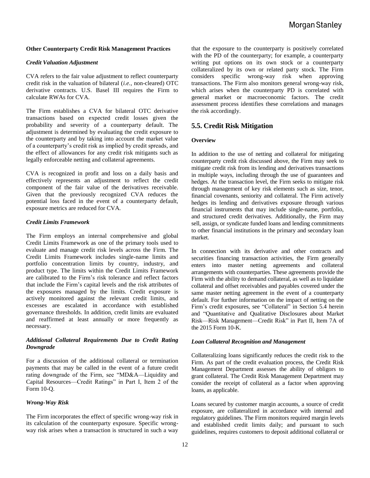#### **Other Counterparty Credit Risk Management Practices**

#### *Credit Valuation Adjustment*

CVA refers to the fair value adjustment to reflect counterparty credit risk in the valuation of bilateral (*i.e.,* non-cleared) OTC derivative contracts. U.S. Basel III requires the Firm to calculate RWAs for CVA.

The Firm establishes a CVA for bilateral OTC derivative transactions based on expected credit losses given the probability and severity of a counterparty default. The adjustment is determined by evaluating the credit exposure to the counterparty and by taking into account the market value of a counterparty's credit risk as implied by credit spreads, and the effect of allowances for any credit risk mitigants such as legally enforceable netting and collateral agreements.

CVA is recognized in profit and loss on a daily basis and effectively represents an adjustment to reflect the credit component of the fair value of the derivatives receivable. Given that the previously recognized CVA reduces the potential loss faced in the event of a counterparty default, exposure metrics are reduced for CVA.

#### *Credit Limits Framework*

The Firm employs an internal comprehensive and global Credit Limits Framework as one of the primary tools used to evaluate and manage credit risk levels across the Firm. The Credit Limits Framework includes single-name limits and portfolio concentration limits by country, industry, and product type. The limits within the Credit Limits Framework are calibrated to the Firm's risk tolerance and reflect factors that include the Firm's capital levels and the risk attributes of the exposures managed by the limits. Credit exposure is actively monitored against the relevant credit limits, and excesses are escalated in accordance with established governance thresholds. In addition, credit limits are evaluated and reaffirmed at least annually or more frequently as necessary.

#### *Additional Collateral Requirements Due to Credit Rating Downgrade*

For a discussion of the additional collateral or termination payments that may be called in the event of a future credit rating downgrade of the Firm, see "MD&A—Liquidity and Capital Resources—Credit Ratings" in Part I, Item 2 of the Form 10-Q.

#### *Wrong-Way Risk*

The Firm incorporates the effect of specific wrong-way risk in its calculation of the counterparty exposure. Specific wrongway risk arises when a transaction is structured in such a way

that the exposure to the counterparty is positively correlated with the PD of the counterparty; for example, a counterparty writing put options on its own stock or a counterparty collateralized by its own or related party stock. The Firm considers specific wrong-way risk when approving transactions. The Firm also monitors general wrong-way risk, which arises when the counterparty PD is correlated with general market or macroeconomic factors. The credit assessment process identifies these correlations and manages the risk accordingly.

#### **5.5. Credit Risk Mitigation**

#### **Overview**

In addition to the use of netting and collateral for mitigating counterparty credit risk discussed above, the Firm may seek to mitigate credit risk from its lending and derivatives transactions in multiple ways, including through the use of guarantees and hedges. At the transaction level, the Firm seeks to mitigate risk through management of key risk elements such as size, tenor, financial covenants, seniority and collateral. The Firm actively hedges its lending and derivatives exposure through various financial instruments that may include single-name, portfolio, and structured credit derivatives. Additionally, the Firm may sell, assign, or syndicate funded loans and lending commitments to other financial institutions in the primary and secondary loan market.

In connection with its derivative and other contracts and securities financing transaction activities, the Firm generally enters into master netting agreements and collateral arrangements with counterparties. These agreements provide the Firm with the ability to demand collateral, as well as to liquidate collateral and offset receivables and payables covered under the same master netting agreement in the event of a counterparty default. For further information on the impact of netting on the Firm's credit exposures, see "Collateral" in Section 5.4 herein and "Quantitative and Qualitative Disclosures about Market Risk—Risk Management—Credit Risk" in Part II, Item 7A of the 2015 Form 10-K.

#### *Loan Collateral Recognition and Management*

Collateralizing loans significantly reduces the credit risk to the Firm. As part of the credit evaluation process, the Credit Risk Management Department assesses the ability of obligors to grant collateral. The Credit Risk Management Department may consider the receipt of collateral as a factor when approving loans, as applicable.

Loans secured by customer margin accounts, a source of credit exposure, are collateralized in accordance with internal and regulatory guidelines. The Firm monitors required margin levels and established credit limits daily; and pursuant to such guidelines, requires customers to deposit additional collateral or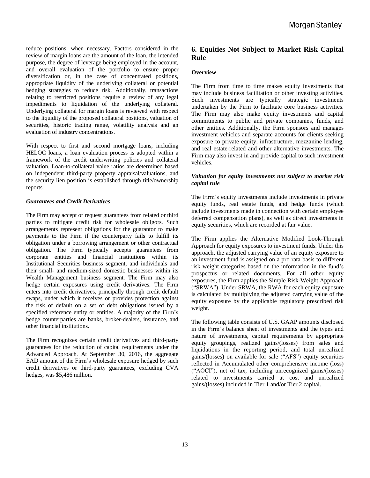reduce positions, when necessary. Factors considered in the review of margin loans are the amount of the loan, the intended purpose, the degree of leverage being employed in the account, and overall evaluation of the portfolio to ensure proper diversification or, in the case of concentrated positions, appropriate liquidity of the underlying collateral or potential hedging strategies to reduce risk. Additionally, transactions relating to restricted positions require a review of any legal impediments to liquidation of the underlying collateral. Underlying collateral for margin loans is reviewed with respect to the liquidity of the proposed collateral positions, valuation of securities, historic trading range, volatility analysis and an evaluation of industry concentrations.

With respect to first and second mortgage loans, including HELOC loans, a loan evaluation process is adopted within a framework of the credit underwriting policies and collateral valuation. Loan-to-collateral value ratios are determined based on independent third-party property appraisal/valuations, and the security lien position is established through title/ownership reports.

#### *Guarantees and Credit Derivatives*

The Firm may accept or request guarantees from related or third parties to mitigate credit risk for wholesale obligors. Such arrangements represent obligations for the guarantor to make payments to the Firm if the counterparty fails to fulfill its obligation under a borrowing arrangement or other contractual obligation. The Firm typically accepts guarantees from corporate entities and financial institutions within its Institutional Securities business segment, and individuals and their small- and medium-sized domestic businesses within its Wealth Management business segment. The Firm may also hedge certain exposures using credit derivatives. The Firm enters into credit derivatives, principally through credit default swaps, under which it receives or provides protection against the risk of default on a set of debt obligations issued by a specified reference entity or entities. A majority of the Firm's hedge counterparties are banks, broker-dealers, insurance, and other financial institutions.

The Firm recognizes certain credit derivatives and third-party guarantees for the reduction of capital requirements under the Advanced Approach. At September 30, 2016, the aggregate EAD amount of the Firm's wholesale exposure hedged by such credit derivatives or third-party guarantees, excluding CVA hedges, was \$5,486 million.

# **6. Equities Not Subject to Market Risk Capital Rule**

#### **Overview**

The Firm from time to time makes equity investments that may include business facilitation or other investing activities. Such investments are typically strategic investments undertaken by the Firm to facilitate core business activities. The Firm may also make equity investments and capital commitments to public and private companies, funds, and other entities. Additionally, the Firm sponsors and manages investment vehicles and separate accounts for clients seeking exposure to private equity, infrastructure, mezzanine lending, and real estate-related and other alternative investments. The Firm may also invest in and provide capital to such investment vehicles.

#### *Valuation for equity investments not subject to market risk capital rule*

The Firm's equity investments include investments in private equity funds, real estate funds, and hedge funds (which include investments made in connection with certain employee deferred compensation plans), as well as direct investments in equity securities, which are recorded at fair value.

The Firm applies the Alternative Modified Look-Through Approach for equity exposures to investment funds. Under this approach, the adjusted carrying value of an equity exposure to an investment fund is assigned on a pro rata basis to different risk weight categories based on the information in the fund's prospectus or related documents. For all other equity exposures, the Firm applies the Simple Risk-Weight Approach ("SRWA"). Under SRWA, the RWA for each equity exposure is calculated by multiplying the adjusted carrying value of the equity exposure by the applicable regulatory prescribed risk weight.

The following table consists of U.S. GAAP amounts disclosed in the Firm's balance sheet of investments and the types and nature of investments, capital requirements by appropriate equity groupings, realized gains/(losses) from sales and liquidations in the reporting period, and total unrealized gains/(losses) on available for sale ("AFS") equity securities reflected in Accumulated other comprehensive income (loss) ("AOCI"), net of tax, including unrecognized gains/(losses) related to investments carried at cost and unrealized gains/(losses) included in Tier 1 and/or Tier 2 capital.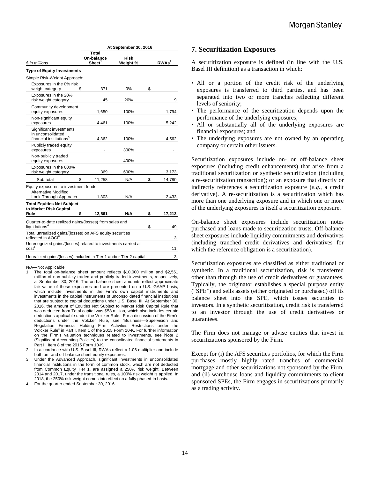|                                                                                               | At September 30, 2016                            |                  |    |                   |  |  |  |
|-----------------------------------------------------------------------------------------------|--------------------------------------------------|------------------|----|-------------------|--|--|--|
| \$ in millions                                                                                | <b>Total</b><br>On-balance<br>Sheet <sup>1</sup> | Risk<br>Weight % |    | RWAs <sup>2</sup> |  |  |  |
| <b>Type of Equity Investments</b>                                                             |                                                  |                  |    |                   |  |  |  |
| Simple Risk-Weight Approach:                                                                  |                                                  |                  |    |                   |  |  |  |
| Exposures in the 0% risk<br>weight category<br>\$                                             | 371                                              | 0%               | \$ |                   |  |  |  |
| Exposures in the 20%<br>risk weight category                                                  | 45                                               | 20%              |    | 9                 |  |  |  |
| Community development<br>equity exposures                                                     | 1,650                                            | 100%             |    | 1,794             |  |  |  |
| Non-significant equity<br>exposures                                                           | 4,461                                            | 100%             |    | 5,242             |  |  |  |
| Significant investments<br>in unconsolidated<br>financial institutions <sup>3</sup>           | 4.362                                            | 100%             |    | 4,562             |  |  |  |
| Publicly traded equity<br>exposures                                                           |                                                  | 300%             |    |                   |  |  |  |
| Non-publicly traded<br>equity exposures                                                       |                                                  | 400%             |    |                   |  |  |  |
| Exposures in the 600%<br>risk weight category                                                 | 369                                              | 600%             |    | 3,173             |  |  |  |
| \$<br>Sub-total                                                                               | 11,258                                           | N/A              | \$ | 14,780            |  |  |  |
| Equity exposures to investment funds:<br><b>Alternative Modified</b><br>Look-Through Approach | 1,303                                            | N/A              |    | 2,433             |  |  |  |
| <b>Total Equities Not Subject</b>                                                             |                                                  |                  |    |                   |  |  |  |
| to Market Risk Capital<br>Rule<br>\$                                                          | 12,561                                           | N/A              | \$ | 17,213            |  |  |  |
| Quarter-to-date realized gains/(losses) from sales and<br>liquidations <sup>4</sup>           |                                                  |                  | \$ | 49                |  |  |  |
| Total unrealized gains/(losses) on AFS equity securities<br>reflected in AOCI                 |                                                  |                  |    | 3                 |  |  |  |
| Unrecognized gains/(losses) related to investments carried at<br>cost <sup>4</sup>            |                                                  |                  |    | 11                |  |  |  |
| Unrealized gains/(losses) included in Tier 1 and/or Tier 2 capital                            |                                                  |                  |    | 3                 |  |  |  |

#### N/A—Not Applicable

- The total on-balance sheet amount reflects \$10,000 million and \$2,561 million of non-publicly traded and publicly traded investments, respectively, at September 30, 2016. The on-balance sheet amounts reflect approximate fair value of these exposures and are presented on a U.S. GAAP basis, which include investments in the Firm's own capital instruments and investments in the capital instruments of unconsolidated financial institutions that are subject to capital deductions under U.S. Basel III. At September 30, 2016, the amount of Equities Not Subject to Market Risk Capital Rule that was deducted from Total capital was \$58 million, which also includes certain deductions applicable under the Volcker Rule. For a discussion of the Firm's deductions under the Volcker Rule, see "Business—Supervision and Regulation—Financial Holding Firm—Activities Restrictions under the Volcker Rule" in Part I, Item 1 of the 2015 Form 10-K. For further information on the Firm's valuation techniques related to investments, see Note 2 (Significant Accounting Policies) to the consolidated financial statements in Part II, Item 8 of the 2015 Form 10-K.
- 2. In accordance with U.S. Basel III, RWAs reflect a 1.06 multiplier and include both on- and off-balance sheet equity exposures.
- 3. Under the Advanced Approach, significant investments in unconsolidated financial institutions in the form of common stock, which are not deducted from Common Equity Tier 1, are assigned a 250% risk weight. Between 2014 and 2017, under the transitional rules, a 100% risk weight is applied. In 2018, the 250% risk weight comes into effect on a fully phased-in basis.
- 4. For the quarter ended September 30, 2016.

#### **7. Securitization Exposures**

A securitization exposure is defined (in line with the U.S. Basel III definition) as a transaction in which:

- All or a portion of the credit risk of the underlying exposures is transferred to third parties, and has been separated into two or more tranches reflecting different levels of seniority;
- The performance of the securitization depends upon the performance of the underlying exposures;
- All or substantially all of the underlying exposures are financial exposures; and
- The underlying exposures are not owned by an operating company or certain other issuers.

Securitization exposures include on- or off-balance sheet exposures (including credit enhancements) that arise from a traditional securitization or synthetic securitization (including a re-securitization transaction); or an exposure that directly or indirectly references a securitization exposure (*e.g.*, a credit derivative). A re-securitization is a securitization which has more than one underlying exposure and in which one or more of the underlying exposures is itself a securitization exposure.

On-balance sheet exposures include securitization notes purchased and loans made to securitization trusts. Off-balance sheet exposures include liquidity commitments and derivatives (including tranched credit derivatives and derivatives for which the reference obligation is a securitization).

Securitization exposures are classified as either traditional or synthetic. In a traditional securitization, risk is transferred other than through the use of credit derivatives or guarantees. Typically, the originator establishes a special purpose entity ("SPE") and sells assets (either originated or purchased) off its balance sheet into the SPE, which issues securities to investors. In a synthetic securitization, credit risk is transferred to an investor through the use of credit derivatives or guarantees.

The Firm does not manage or advise entities that invest in securitizations sponsored by the Firm.

Except for (i) the AFS securities portfolios, for which the Firm purchases mostly highly rated tranches of commercial mortgage and other securitizations not sponsored by the Firm, and (ii) warehouse loans and liquidity commitments to client sponsored SPEs, the Firm engages in securitizations primarily as a trading activity.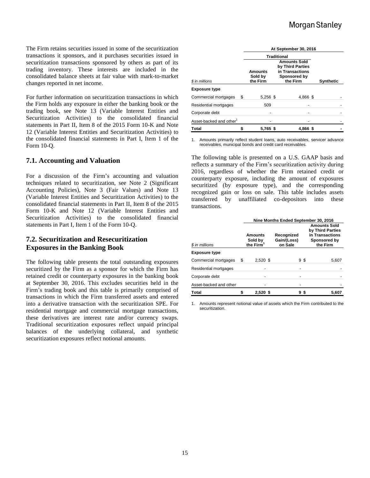The Firm retains securities issued in some of the securitization transactions it sponsors, and it purchases securities issued in securitization transactions sponsored by others as part of its trading inventory. These interests are included in the consolidated balance sheets at fair value with mark-to-market changes reported in net income.

For further information on securitization transactions in which the Firm holds any exposure in either the banking book or the trading book, see Note 13 (Variable Interest Entities and Securitization Activities) to the consolidated financial statements in Part II, Item 8 of the 2015 Form 10-K and Note 12 (Variable Interest Entities and Securitization Activities) to the consolidated financial statements in Part I, Item 1 of the Form 10-Q.

# **7.1. Accounting and Valuation**

For a discussion of the Firm's accounting and valuation techniques related to securitization, see Note 2 (Significant Accounting Policies), Note 3 (Fair Values) and Note 13 (Variable Interest Entities and Securitization Activities) to the consolidated financial statements in Part II, Item 8 of the 2015 Form 10-K and Note 12 (Variable Interest Entities and Securitization Activities) to the consolidated financial statements in Part I, Item 1 of the Form 10-Q.

# **7.2. Securitization and Resecuritization Exposures in the Banking Book**

The following table presents the total outstanding exposures securitized by the Firm as a sponsor for which the Firm has retained credit or counterparty exposures in the banking book at September 30, 2016. This excludes securities held in the Firm's trading book and this table is primarily comprised of transactions in which the Firm transferred assets and entered into a derivative transaction with the securitization SPE. For residential mortgage and commercial mortgage transactions, these derivatives are interest rate and/or currency swaps. Traditional securitization exposures reflect unpaid principal balances of the underlying collateral, and synthetic securitization exposures reflect notional amounts.

|                                     |   | At September 30, 2016          |                                                                                        |                  |  |  |  |  |  |  |  |
|-------------------------------------|---|--------------------------------|----------------------------------------------------------------------------------------|------------------|--|--|--|--|--|--|--|
|                                     |   | <b>Traditional</b>             |                                                                                        |                  |  |  |  |  |  |  |  |
| \$ in millions                      |   | Amounts<br>Sold by<br>the Firm | <b>Amounts Sold</b><br>by Third Parties<br>in Transactions<br>Sponsored by<br>the Firm | <b>Synthetic</b> |  |  |  |  |  |  |  |
| <b>Exposure type</b>                |   |                                |                                                                                        |                  |  |  |  |  |  |  |  |
| Commercial mortgages                | S | 5,256 \$                       | 4,866 \$                                                                               |                  |  |  |  |  |  |  |  |
| Residential mortgages               |   | 509                            |                                                                                        |                  |  |  |  |  |  |  |  |
| Corporate debt                      |   |                                |                                                                                        |                  |  |  |  |  |  |  |  |
| Asset-backed and other <sup>1</sup> |   |                                |                                                                                        |                  |  |  |  |  |  |  |  |
| <b>Total</b>                        |   | 5,765 \$                       | 4,866 \$                                                                               |                  |  |  |  |  |  |  |  |

1. Amounts primarily reflect student loans, auto receivables, servicer advance receivables, municipal bonds and credit card receivables.

The following table is presented on a U.S. GAAP basis and reflects a summary of the Firm's securitization activity during 2016, regardless of whether the Firm retained credit or counterparty exposure, including the amount of exposures securitized (by exposure type), and the corresponding recognized gain or loss on sale. This table includes assets transferred by unaffiliated co-depositors into these transactions.

|                        |   | Nine Months Ended September 30, 2016               |                                      |  |                                                                                        |  |  |  |
|------------------------|---|----------------------------------------------------|--------------------------------------|--|----------------------------------------------------------------------------------------|--|--|--|
| \$ in millions         |   | <b>Amounts</b><br>Sold by<br>the Firm <sup>1</sup> | Recognized<br>Gain/(Loss)<br>on Sale |  | <b>Amounts Sold</b><br>by Third Parties<br>in Transactions<br>Sponsored by<br>the Firm |  |  |  |
| <b>Exposure type</b>   |   |                                                    |                                      |  |                                                                                        |  |  |  |
| Commercial mortgages   | S | $2.520$ \$                                         | 9 S                                  |  | 5.607                                                                                  |  |  |  |
| Residential mortgages  |   |                                                    |                                      |  |                                                                                        |  |  |  |
| Corporate debt         |   |                                                    |                                      |  |                                                                                        |  |  |  |
| Asset-backed and other |   |                                                    |                                      |  |                                                                                        |  |  |  |
| <b>Total</b>           |   | $2,520$ \$                                         | 95                                   |  | 5.607                                                                                  |  |  |  |

1. Amounts represent notional value of assets which the Firm contributed to the securitization.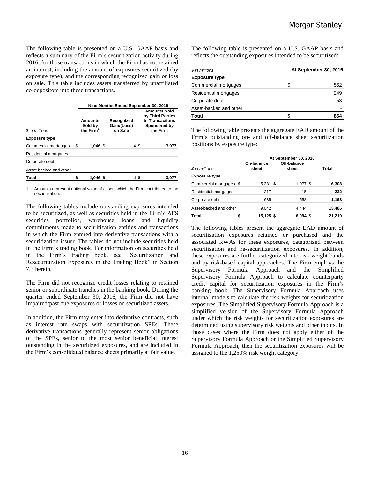The following table is presented on a U.S. GAAP basis and reflects a summary of the Firm's securitization activity during 2016, for those transactions in which the Firm has not retained an interest, including the amount of exposures securitized (by exposure type), and the corresponding recognized gain or loss on sale. This table includes assets transferred by unaffiliated co-depositors into these transactions.

|                        |   | Nine Months Ended September 30, 2016        |                                      |  |                                                                                        |  |  |  |  |
|------------------------|---|---------------------------------------------|--------------------------------------|--|----------------------------------------------------------------------------------------|--|--|--|--|
| \$ in millions         |   | Amounts<br>Sold by<br>the Firm <sup>1</sup> | Recognized<br>Gain/(Loss)<br>on Sale |  | <b>Amounts Sold</b><br>by Third Parties<br>in Transactions<br>Sponsored by<br>the Firm |  |  |  |  |
| <b>Exposure type</b>   |   |                                             |                                      |  |                                                                                        |  |  |  |  |
| Commercial mortgages   | S | $1.046$ \$                                  | 4\$                                  |  | 3,077                                                                                  |  |  |  |  |
| Residential mortgages  |   |                                             |                                      |  |                                                                                        |  |  |  |  |
| Corporate debt         |   |                                             |                                      |  |                                                                                        |  |  |  |  |
| Asset-backed and other |   |                                             |                                      |  |                                                                                        |  |  |  |  |
| <b>Total</b>           |   | $1.046$ \$                                  |                                      |  | 3,077                                                                                  |  |  |  |  |

1. Amounts represent notional value of assets which the Firm contributed to the securitization.

The following tables include outstanding exposures intended to be securitized, as well as securities held in the Firm's AFS securities portfolios, warehouse loans and liquidity commitments made to securitization entities and transactions in which the Firm entered into derivative transactions with a securitization issuer. The tables do not include securities held in the Firm's trading book. For information on securities held in the Firm's trading book, see "Securitization and Resecuritization Exposures in the Trading Book" in Section 7.3 herein.

The Firm did not recognize credit losses relating to retained senior or subordinate tranches in the banking book. During the quarter ended September 30, 2016, the Firm did not have impaired/past due exposures or losses on securitized assets.

In addition, the Firm may enter into derivative contracts, such as interest rate swaps with securitization SPEs. These derivative transactions generally represent senior obligations of the SPEs, senior to the most senior beneficial interest outstanding in the securitized exposures, and are included in the Firm's consolidated balance sheets primarily at fair value.

The following table is presented on a U.S. GAAP basis and reflects the outstanding exposures intended to be securitized:

| \$ in millions         | At September 30, 2016 |     |  |  |  |
|------------------------|-----------------------|-----|--|--|--|
| <b>Exposure type</b>   |                       |     |  |  |  |
| Commercial mortgages   | S.                    | 562 |  |  |  |
| Residential mortgages  |                       | 249 |  |  |  |
| Corporate debt         |                       | 53  |  |  |  |
| Asset-backed and other |                       |     |  |  |  |
| Total                  |                       | 864 |  |  |  |

The following table presents the aggregate EAD amount of the Firm's outstanding on- and off-balance sheet securitization positions by exposure type:

|                         | At September 30, 2016 |                      |        |  |  |  |  |  |  |
|-------------------------|-----------------------|----------------------|--------|--|--|--|--|--|--|
| \$ in millions          | On-balance<br>sheet   | Off-balance<br>sheet | Total  |  |  |  |  |  |  |
| <b>Exposure type</b>    |                       |                      |        |  |  |  |  |  |  |
| Commercial mortgages \$ | $5,231$ \$            | $1,077$ \$           | 6,308  |  |  |  |  |  |  |
| Residential mortgages   | 217                   | 15                   | 232    |  |  |  |  |  |  |
| Corporate debt          | 635                   | 558                  | 1,193  |  |  |  |  |  |  |
| Asset-backed and other  | 9,042                 | 4.444                | 13,486 |  |  |  |  |  |  |
| <b>Total</b>            | 15,125 \$             | $6,094$ \$           | 21,219 |  |  |  |  |  |  |

The following tables present the aggregate EAD amount of securitization exposures retained or purchased and the associated RWAs for these exposures, categorized between securitization and re-securitization exposures. In addition, these exposures are further categorized into risk weight bands and by risk-based capital approaches. The Firm employs the Supervisory Formula Approach and the Simplified Supervisory Formula Approach to calculate counterparty credit capital for securitization exposures in the Firm's banking book. The Supervisory Formula Approach uses internal models to calculate the risk weights for securitization exposures. The Simplified Supervisory Formula Approach is a simplified version of the Supervisory Formula Approach under which the risk weights for securitization exposures are determined using supervisory risk weights and other inputs. In those cases where the Firm does not apply either of the Supervisory Formula Approach or the Simplified Supervisory Formula Approach, then the securitization exposures will be assigned to the 1,250% risk weight category.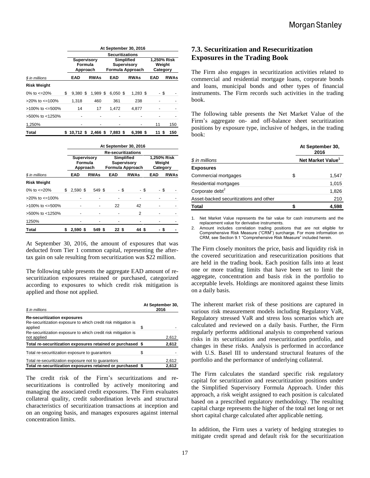|                          |    | At September 30, 2016                     |                        |                                                             |            |  |                                   |             |          |  |  |
|--------------------------|----|-------------------------------------------|------------------------|-------------------------------------------------------------|------------|--|-----------------------------------|-------------|----------|--|--|
|                          |    |                                           | <b>Securitizations</b> |                                                             |            |  |                                   |             |          |  |  |
|                          |    | <b>Supervisory</b><br>Formula<br>Approach |                        | <b>Simplified</b><br><b>Supervisory</b><br>Formula Approach |            |  | 1,250% Risk<br>Weight<br>Category |             |          |  |  |
| \$ in millions           |    | EAD                                       | <b>RWAs</b>            |                                                             | <b>EAD</b> |  | EAD                               | <b>RWAs</b> |          |  |  |
| <b>Risk Weight</b>       |    |                                           |                        |                                                             |            |  |                                   |             |          |  |  |
| 0% to $\epsilon$ =20%    | \$ | $9.380$ \$                                | $1.989$ \$             |                                                             | $6.050$ \$ |  | $1.283$ \$                        | - \$        |          |  |  |
| $>$ 20% to $\leq$ =100%  |    | 1,318                                     | 460                    |                                                             | 361        |  | 238                               |             |          |  |  |
| $>100\%$ to $\leq 500\%$ |    | 14                                        | 17                     |                                                             | 1,472      |  | 4.877                             |             |          |  |  |
| >500% to <1250%          |    |                                           |                        |                                                             |            |  |                                   |             |          |  |  |
| 1,250%                   |    |                                           | ٠                      |                                                             |            |  |                                   | 11          | 150      |  |  |
| Total                    | S. | 10,712 \$                                 | 2,466 \$               |                                                             | 7.883 \$   |  | 6.398 \$                          | 11          | 150<br>S |  |  |

|                          |   | At September 30, 2016                     |                           |             |  |            |                                                             |                                   |     |      |             |
|--------------------------|---|-------------------------------------------|---------------------------|-------------|--|------------|-------------------------------------------------------------|-----------------------------------|-----|------|-------------|
|                          |   |                                           | <b>Re-securitizations</b> |             |  |            |                                                             |                                   |     |      |             |
|                          |   | <b>Supervisory</b><br>Formula<br>Approach |                           |             |  |            | <b>Simplified</b><br><b>Supervisory</b><br>Formula Approach | 1,250% Risk<br>Weight<br>Category |     |      |             |
| \$ in millions           |   | EAD                                       |                           | <b>RWAs</b> |  | <b>EAD</b> |                                                             | <b>RWAs</b>                       | EAD |      | <b>RWAs</b> |
| <b>Risk Weight</b>       |   |                                           |                           |             |  |            |                                                             |                                   |     |      |             |
| 0% to $\epsilon$ =20%    | S | $2,590$ \$                                |                           | 549 \$      |  |            | - \$                                                        | - \$                              |     | - \$ |             |
| $>20\%$ to $\leq 100\%$  |   |                                           |                           |             |  |            |                                                             |                                   |     |      |             |
| $>100\%$ to $\leq 500\%$ |   |                                           |                           |             |  | 22         |                                                             | 42                                |     |      |             |
| >500% to <1250%          |   |                                           |                           |             |  |            |                                                             | 2                                 |     |      |             |
| 1250%                    |   |                                           |                           |             |  |            |                                                             |                                   |     |      |             |
| Total                    |   | $2,590$ \$                                |                           | 549 \$      |  | 22 S       |                                                             | 44 S                              |     | S    |             |

At September 30, 2016, the amount of exposures that was deducted from Tier 1 common capital, representing the aftertax gain on sale resulting from securitization was \$22 million.

The following table presents the aggregate EAD amount of resecuritization exposures retained or purchased, categorized according to exposures to which credit risk mitigation is applied and those not applied.

| \$ in millions                                                                                                 |   | At September 30,<br>2016 |
|----------------------------------------------------------------------------------------------------------------|---|--------------------------|
| <b>Re-securitization exposures</b><br>Re-securitization exposure to which credit risk mitigation is<br>applied | S |                          |
| Re-securitization exposure to which credit risk mitigation is<br>not applied                                   |   | 2,612                    |
| Total re-securitization exposures retained or purchased \$                                                     |   | 2,612                    |
| Total re-securitization exposure to guarantors                                                                 | S |                          |
| Total re-securitization exposure not to quarantors                                                             |   | 2,612                    |
| Total re-securitization exposures retained or purchased \$                                                     |   | 2.612                    |

The credit risk of the Firm's securitizations and resecuritizations is controlled by actively monitoring and managing the associated credit exposures. The Firm evaluates collateral quality, credit subordination levels and structural characteristics of securitization transactions at inception and on an ongoing basis, and manages exposures against internal concentration limits.

# **7.3. Securitization and Resecuritization Exposures in the Trading Book**

The Firm also engages in securitization activities related to commercial and residential mortgage loans, corporate bonds and loans, municipal bonds and other types of financial instruments. The Firm records such activities in the trading book.

The following table presents the Net Market Value of the Firm's aggregate on- and off-balance sheet securitization positions by exposure type, inclusive of hedges, in the trading book:

|                                        | At September 30,<br>2016      |  |  |
|----------------------------------------|-------------------------------|--|--|
| \$ in millions                         | Net Market Value <sup>1</sup> |  |  |
| <b>Exposures</b>                       |                               |  |  |
| Commercial mortgages                   | \$<br>1,547                   |  |  |
| Residential mortgages                  | 1,015                         |  |  |
| Corporate debt <sup>2</sup>            | 1,826                         |  |  |
| Asset-backed securitizations and other | 210                           |  |  |
| <b>Total</b>                           | 4,598                         |  |  |

1. Net Market Value represents the fair value for cash instruments and the replacement value for derivative instruments.

Amount includes correlation trading positions that are not eligible for Comprehensive Risk Measure ("CRM") surcharge. For more information on CRM, see Section 9.1 "Comprehensive Risk Measure" included herein.

The Firm closely monitors the price, basis and liquidity risk in the covered securitization and resecuritization positions that are held in the trading book. Each position falls into at least one or more trading limits that have been set to limit the aggregate, concentration and basis risk in the portfolio to acceptable levels. Holdings are monitored against these limits on a daily basis.

The inherent market risk of these positions are captured in various risk measurement models including Regulatory VaR, Regulatory stressed VaR and stress loss scenarios which are calculated and reviewed on a daily basis. Further, the Firm regularly performs additional analysis to comprehend various risks in its securitization and resecuritization portfolio, and changes in these risks. Analysis is performed in accordance with U.S. Basel III to understand structural features of the portfolio and the performance of underlying collateral.

The Firm calculates the standard specific risk regulatory capital for securitization and resecuritization positions under the Simplified Supervisory Formula Approach. Under this approach, a risk weight assigned to each position is calculated based on a prescribed regulatory methodology. The resulting capital charge represents the higher of the total net long or net short capital charge calculated after applicable netting.

In addition, the Firm uses a variety of hedging strategies to mitigate credit spread and default risk for the securitization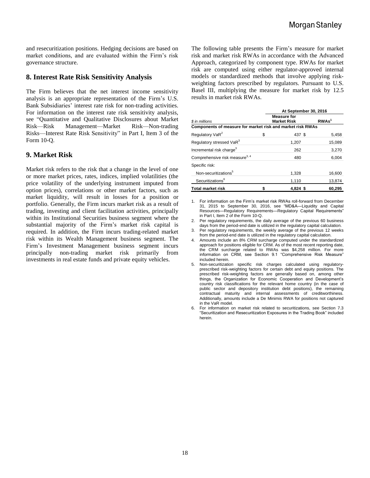and resecuritization positions. Hedging decisions are based on market conditions, and are evaluated within the Firm's risk governance structure.

## **8. Interest Rate Risk Sensitivity Analysis**

The Firm believes that the net interest income sensitivity analysis is an appropriate representation of the Firm's U.S. Bank Subsidiaries' interest rate risk for non-trading activities. For information on the interest rate risk sensitivity analysis, see "Quantitative and Qualitative Disclosures about Market Risk—Risk Management—Market Risk—Non-trading Risks—Interest Rate Risk Sensitivity" in Part I, Item 3 of the Form 10-Q.

#### **9. Market Risk**

Market risk refers to the risk that a change in the level of one or more market prices, rates, indices, implied volatilities (the price volatility of the underlying instrument imputed from option prices), correlations or other market factors, such as market liquidity, will result in losses for a position or portfolio. Generally, the Firm incurs market risk as a result of trading, investing and client facilitation activities, principally within its Institutional Securities business segment where the substantial majority of the Firm's market risk capital is required. In addition, the Firm incurs trading-related market risk within its Wealth Management business segment. The Firm's Investment Management business segment incurs principally non-trading market risk primarily from investments in real estate funds and private equity vehicles.

The following table presents the Firm's measure for market risk and market risk RWAs in accordance with the Advanced Approach, categorized by component type. RWAs for market risk are computed using either regulator-approved internal models or standardized methods that involve applying riskweighting factors prescribed by regulators. Pursuant to U.S. Basel III, multiplying the measure for market risk by 12.5 results in market risk RWAs.

|                                                            | At September 30, 2016 |                                          |                   |  |  |  |  |
|------------------------------------------------------------|-----------------------|------------------------------------------|-------------------|--|--|--|--|
| \$ in millions                                             |                       | <b>Measure for</b><br><b>Market Risk</b> | RWAs <sup>1</sup> |  |  |  |  |
| Components of measure for market risk and market risk RWAs |                       |                                          |                   |  |  |  |  |
| Regulatory VaR <sup>2</sup>                                | \$                    | 437 \$                                   | 5,458             |  |  |  |  |
| Regulatory stressed VaR <sup>3</sup>                       |                       | 1,207                                    | 15,089            |  |  |  |  |
| Incremental risk charge <sup>3</sup>                       |                       | 262                                      | 3,270             |  |  |  |  |
| Comprehensive risk measure <sup>3, 4</sup>                 |                       | 480                                      | 6,004             |  |  |  |  |
| Specific risk:                                             |                       |                                          |                   |  |  |  |  |
| Non-securitizations <sup>5</sup>                           |                       | 1,328                                    | 16,600            |  |  |  |  |
| Securitizations <sup>6</sup>                               |                       | 1,110                                    | 13,874            |  |  |  |  |
| <b>Total market risk</b>                                   |                       | $4.824$ \$                               | 60,295            |  |  |  |  |

1. For information on the Firm's market risk RWAs roll-forward from December 31, 2015 to September 30, 2016, see "MD&A—Liquidity and Capital Resources—Regulatory Requirements—Regulatory Capital Requirements" in Part I, Item 2 of the Form 10-Q.

2. Per regulatory requirements, the daily average of the previous 60 business days from the period-end date is utilized in the regulatory capital calculation.

3. Per regulatory requirements, the weekly average of the previous 12 weeks from the period-end date is utilized in the regulatory capital calculation.

4. Amounts include an 8% CRM surcharge computed under the standardized approach for positions eligible for CRM. As of the most recent reporting date, the CRM surcharge related to RWAs was \$4,258 million. For more information on CRM, see Section 9.1 "Comprehensive Risk Measure" included herein.

5. Non-securitization specific risk charges calculated using regulatoryprescribed risk-weighting factors for certain debt and equity positions. The prescribed risk-weighting factors are generally based on, among other things, the Organization for Economic Cooperation and Development's country risk classifications for the relevant home country (in the case of public sector and depository institution debt positions), the remaining contractual maturity and internal assessments of creditworthiness. Additionally, amounts include a De Minimis RWA for positions not captured in the VaR model.

6. For information on market risk related to securitizations, see Section 7.3 "Securitization and Resecuritization Exposures in the Trading Book" included herein.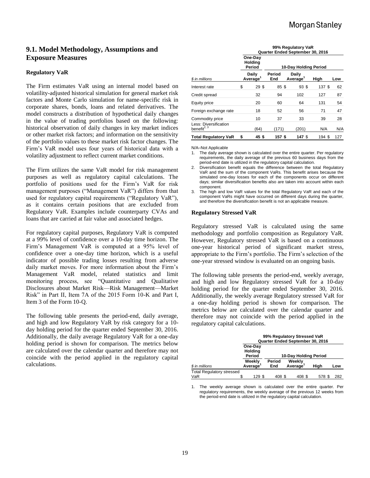# **9.1. Model Methodology, Assumptions and Exposure Measures**

#### **Regulatory VaR**

The Firm estimates VaR using an internal model based on volatility-adjusted historical simulation for general market risk factors and Monte Carlo simulation for name-specific risk in corporate shares, bonds, loans and related derivatives. The model constructs a distribution of hypothetical daily changes in the value of trading portfolios based on the following: historical observation of daily changes in key market indices or other market risk factors; and information on the sensitivity of the portfolio values to these market risk factor changes. The Firm's VaR model uses four years of historical data with a volatility adjustment to reflect current market conditions.

The Firm utilizes the same VaR model for risk management purposes as well as regulatory capital calculations. The portfolio of positions used for the Firm's VaR for risk management purposes ("Management VaR") differs from that used for regulatory capital requirements ("Regulatory VaR"), as it contains certain positions that are excluded from Regulatory VaR. Examples include counterparty CVAs and loans that are carried at fair value and associated hedges.

For regulatory capital purposes, Regulatory VaR is computed at a 99% level of confidence over a 10-day time horizon. The Firm's Management VaR is computed at a 95% level of confidence over a one-day time horizon, which is a useful indicator of possible trading losses resulting from adverse daily market moves. For more information about the Firm's Management VaR model, related statistics and limit monitoring process, see "Quantitative and Qualitative Disclosures about Market Risk—Risk Management—Market Risk" in Part II, Item 7A of the 2015 Form 10-K and Part I, Item 3 of the Form 10-Q.

The following table presents the period-end, daily average, and high and low Regulatory VaR by risk category for a 10 day holding period for the quarter ended September 30, 2016. Additionally, the daily average Regulatory VaR for a one-day holding period is shown for comparison. The metrics below are calculated over the calendar quarter and therefore may not coincide with the period applied in the regulatory capital calculations.

|                                                  | 99% Regulatory VaR<br>Quarter Ended September 30, 2016 |                               |                       |                               |        |     |  |
|--------------------------------------------------|--------------------------------------------------------|-------------------------------|-----------------------|-------------------------------|--------|-----|--|
| \$ in millions                                   | One-Day<br>Holding<br>Period                           |                               | 10-Day Holding Period |                               |        |     |  |
|                                                  |                                                        | Daily<br>Average <sup>1</sup> | Period<br>End         | Daily<br>Average <sup>1</sup> | High   | Low |  |
| Interest rate                                    | \$                                                     | 29\$                          | 85\$                  | 93\$                          | 137 \$ | 62  |  |
| Credit spread                                    |                                                        | 32                            | 94                    | 102                           | 127    | 87  |  |
| Equity price                                     |                                                        | 20                            | 60                    | 64                            | 131    | 54  |  |
| Foreign exchange rate                            |                                                        | 18                            | 52                    | 56                            | 71     | 47  |  |
| Commodity price                                  |                                                        | 10                            | 37                    | 33                            | 39     | 28  |  |
| Less: Diversification<br>benefit <sup>2, 3</sup> |                                                        | (64)                          | (171)                 | (201)                         | N/A    | N/A |  |
| <b>Total Regulatory VaR</b>                      | \$                                                     | 45\$                          | 157 \$                | 147 \$                        | 194 \$ | 127 |  |

N/A–Not Applicable

- The daily average shown is calculated over the entire quarter. Per regulatory requirements, the daily average of the previous 60 business days from the period-end date is utilized in the regulatory capital calculation.
- 2. Diversification benefit equals the difference between the total Regulatory VaR and the sum of the component VaRs. This benefit arises because the simulated one-day losses for each of the components occur on different days; similar diversification benefits also are taken into account within each component.
- 3. The high and low VaR values for the total Regulatory VaR and each of the component VaRs might have occurred on different days during the quarter, and therefore the diversification benefit is not an applicable measure.

#### **Regulatory Stressed VaR**

Regulatory stressed VaR is calculated using the same methodology and portfolio composition as Regulatory VaR. However, Regulatory stressed VaR is based on a continuous one-year historical period of significant market stress, appropriate to the Firm's portfolio. The Firm's selection of the one-year stressed window is evaluated on an ongoing basis.

The following table presents the period-end, weekly average, and high and low Regulatory stressed VaR for a 10-day holding period for the quarter ended September 30, 2016. Additionally, the weekly average Regulatory stressed VaR for a one-day holding period is shown for comparison. The metrics below are calculated over the calendar quarter and therefore may not coincide with the period applied in the regulatory capital calculations.

|                                         | 99% Regulatory Stressed VaR<br>Quarter Ended September 30, 2016 |                   |                       |  |                    |      |     |  |
|-----------------------------------------|-----------------------------------------------------------------|-------------------|-----------------------|--|--------------------|------|-----|--|
|                                         | One-Day<br>Holding<br>Period                                    |                   | 10-Day Holding Period |  |                    |      |     |  |
| \$ in millions                          |                                                                 | Weekly<br>Average | Period<br>End         |  | Weekly<br>Average' | High | Low |  |
| <b>Total Regulatory stressed</b><br>VaR | S                                                               | 129 \$            | 408 \$                |  | 408 \$             | 578  | 282 |  |

1. The weekly average shown is calculated over the entire quarter. Per regulatory requirements, the weekly average of the previous 12 weeks from the period-end date is utilized in the regulatory capital calculation.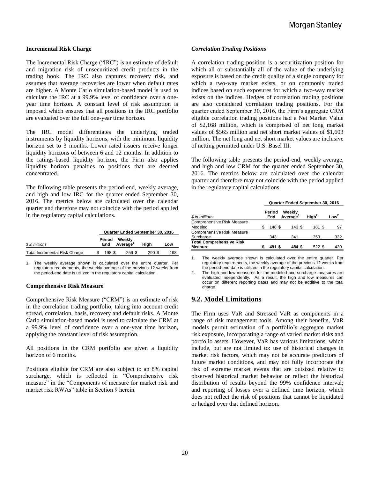#### **Incremental Risk Charge**

The Incremental Risk Charge ("IRC") is an estimate of default and migration risk of unsecuritized credit products in the trading book. The IRC also captures recovery risk, and assumes that average recoveries are lower when default rates are higher. A Monte Carlo simulation-based model is used to calculate the IRC at a 99.9% level of confidence over a oneyear time horizon. A constant level of risk assumption is imposed which ensures that all positions in the IRC portfolio are evaluated over the full one-year time horizon.

The IRC model differentiates the underlying traded instruments by liquidity horizons, with the minimum liquidity horizon set to 3 months. Lower rated issuers receive longer liquidity horizons of between 6 and 12 months. In addition to the ratings-based liquidity horizon, the Firm also applies liquidity horizon penalties to positions that are deemed concentrated.

The following table presents the period-end, weekly average, and high and low IRC for the quarter ended September 30, 2016. The metrics below are calculated over the calendar quarter and therefore may not coincide with the period applied in the regulatory capital calculations.

|                                      | Quarter Ended September 30, 2016 |               |                                |             |     |
|--------------------------------------|----------------------------------|---------------|--------------------------------|-------------|-----|
| \$ in millions                       |                                  | Period<br>End | Weekly<br>Average <sup>1</sup> | Hiah<br>Low |     |
| <b>Total Incremental Risk Charge</b> |                                  | 198 \$        | 259 \$                         | 290 \$      | 198 |

1. The weekly average shown is calculated over the entire quarter. Per regulatory requirements, the weekly average of the previous 12 weeks from the period-end date is utilized in the regulatory capital calculation.

#### **Comprehensive Risk Measure**

Comprehensive Risk Measure ("CRM") is an estimate of risk in the correlation trading portfolio, taking into account credit spread, correlation, basis, recovery and default risks. A Monte Carlo simulation-based model is used to calculate the CRM at a 99.9% level of confidence over a one-year time horizon, applying the constant level of risk assumption.

All positions in the CRM portfolio are given a liquidity horizon of 6 months.

Positions eligible for CRM are also subject to an 8% capital surcharge, which is reflected in "Comprehensive risk measure" in the "Components of measure for market risk and market risk RWAs" table in Section 9 herein.

#### *Correlation Trading Positions*

A correlation trading position is a securitization position for which all or substantially all of the value of the underlying exposure is based on the credit quality of a single company for which a two-way market exists, or on commonly traded indices based on such exposures for which a two-way market exists on the indices. Hedges of correlation trading positions are also considered correlation trading positions. For the quarter ended September 30, 2016, the Firm's aggregate CRM eligible correlation trading positions had a Net Market Value of \$2,168 million, which is comprised of net long market values of \$565 million and net short market values of \$1,603 million. The net long and net short market values are inclusive of netting permitted under U.S. Basel III.

The following table presents the period-end, weekly average, and high and low CRM for the quarter ended September 30, 2016. The metrics below are calculated over the calendar quarter and therefore may not coincide with the period applied in the regulatory capital calculations.

|                                   | Quarter Ended September 30, 2016 |               |                                |                   |                  |
|-----------------------------------|----------------------------------|---------------|--------------------------------|-------------------|------------------|
| \$ in millions                    |                                  | Period<br>End | Weekly<br>Average <sup>1</sup> | High <sup>2</sup> | Low <sup>2</sup> |
| Comprehensive Risk Measure        |                                  |               |                                |                   |                  |
| Modeled                           |                                  | 148 \$        | 143S                           | 181 \$            | 97               |
| <b>Comprehensive Risk Measure</b> |                                  |               |                                |                   |                  |
| Surcharge                         |                                  | 343           | 341                            | 353               | 332              |
| <b>Total Comprehensive Risk</b>   |                                  |               |                                |                   |                  |
| <b>Measure</b>                    |                                  | 491           | 484 S                          | 522 \$            | 430              |

1. The weekly average shown is calculated over the entire quarter. Per regulatory requirements, the weekly average of the previous 12 weeks from the period-end date is utilized in the regulatory capital calculation.

2. The high and low measures for the modeled and surcharge measures are evaluated independently. As a result, the high and low measures can occur on different reporting dates and may not be additive to the total charge.

# **9.2. Model Limitations**

The Firm uses VaR and Stressed VaR as components in a range of risk management tools. Among their benefits, VaR models permit estimation of a portfolio's aggregate market risk exposure, incorporating a range of varied market risks and portfolio assets. However, VaR has various limitations, which include, but are not limited to: use of historical changes in market risk factors, which may not be accurate predictors of future market conditions, and may not fully incorporate the risk of extreme market events that are outsized relative to observed historical market behavior or reflect the historical distribution of results beyond the 99% confidence interval; and reporting of losses over a defined time horizon, which does not reflect the risk of positions that cannot be liquidated or hedged over that defined horizon.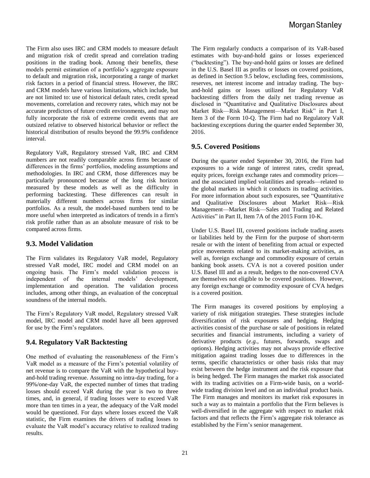The Firm also uses IRC and CRM models to measure default and migration risk of credit spread and correlation trading positions in the trading book. Among their benefits, these models permit estimation of a portfolio's aggregate exposure to default and migration risk, incorporating a range of market risk factors in a period of financial stress. However, the IRC and CRM models have various limitations, which include, but are not limited to: use of historical default rates, credit spread movements, correlation and recovery rates, which may not be accurate predictors of future credit environments, and may not fully incorporate the risk of extreme credit events that are outsized relative to observed historical behavior or reflect the historical distribution of results beyond the 99.9% confidence interval.

Regulatory VaR, Regulatory stressed VaR, IRC and CRM numbers are not readily comparable across firms because of differences in the firms' portfolios, modeling assumptions and methodologies. In IRC and CRM, those differences may be particularly pronounced because of the long risk horizon measured by these models as well as the difficulty in performing backtesting. These differences can result in materially different numbers across firms for similar portfolios. As a result, the model-based numbers tend to be more useful when interpreted as indicators of trends in a firm's risk profile rather than as an absolute measure of risk to be compared across firms.

# **9.3. Model Validation**

The Firm validates its Regulatory VaR model, Regulatory stressed VaR model, IRC model and CRM model on an ongoing basis. The Firm's model validation process is independent of the internal models' development, implementation and operation. The validation process includes, among other things, an evaluation of the conceptual soundness of the internal models.

The Firm's Regulatory VaR model, Regulatory stressed VaR model, IRC model and CRM model have all been approved for use by the Firm's regulators.

# **9.4. Regulatory VaR Backtesting**

One method of evaluating the reasonableness of the Firm's VaR model as a measure of the Firm's potential volatility of net revenue is to compare the VaR with the hypothetical buyand-hold trading revenue. Assuming no intra-day trading, for a 99%/one-day VaR, the expected number of times that trading losses should exceed VaR during the year is two to three times, and, in general, if trading losses were to exceed VaR more than ten times in a year, the adequacy of the VaR model would be questioned. For days where losses exceed the VaR statistic, the Firm examines the drivers of trading losses to evaluate the VaR model's accuracy relative to realized trading results.

The Firm regularly conducts a comparison of its VaR-based estimates with buy-and-hold gains or losses experienced ("backtesting"). The buy-and-hold gains or losses are defined in the U.S. Basel III as profits or losses on covered positions, as defined in Section 9.5 below, excluding fees, commissions, reserves, net interest income and intraday trading. The buyand-hold gains or losses utilized for Regulatory VaR backtesting differs from the daily net trading revenue as disclosed in "Quantitative and Qualitative Disclosures about Market Risk—Risk Management—Market Risk" in Part I, Item 3 of the Form 10-Q. The Firm had no Regulatory VaR backtesting exceptions during the quarter ended September 30, 2016.

# **9.5. Covered Positions**

During the quarter ended September 30, 2016, the Firm had exposures to a wide range of interest rates, credit spread, equity prices, foreign exchange rates and commodity prices and the associated implied volatilities and spreads—related to the global markets in which it conducts its trading activities. For more information about such exposures, see "Quantitative and Qualitative Disclosures about Market Risk—Risk Management—Market Risk—Sales and Trading and Related Activities" in Part II, Item 7A of the 2015 Form 10-K.

Under U.S. Basel III, covered positions include trading assets or liabilities held by the Firm for the purpose of short-term resale or with the intent of benefiting from actual or expected price movements related to its market-making activities, as well as, foreign exchange and commodity exposure of certain banking book assets. CVA is not a covered position under U.S. Basel III and as a result, hedges to the non-covered CVA are themselves not eligible to be covered positions. However, any foreign exchange or commodity exposure of CVA hedges is a covered position.

The Firm manages its covered positions by employing a variety of risk mitigation strategies. These strategies include diversification of risk exposures and hedging. Hedging activities consist of the purchase or sale of positions in related securities and financial instruments, including a variety of derivative products (*e.g.*, futures, forwards, swaps and options). Hedging activities may not always provide effective mitigation against trading losses due to differences in the terms, specific characteristics or other basis risks that may exist between the hedge instrument and the risk exposure that is being hedged. The Firm manages the market risk associated with its trading activities on a Firm-wide basis, on a worldwide trading division level and on an individual product basis. The Firm manages and monitors its market risk exposures in such a way as to maintain a portfolio that the Firm believes is well-diversified in the aggregate with respect to market risk factors and that reflects the Firm's aggregate risk tolerance as established by the Firm's senior management.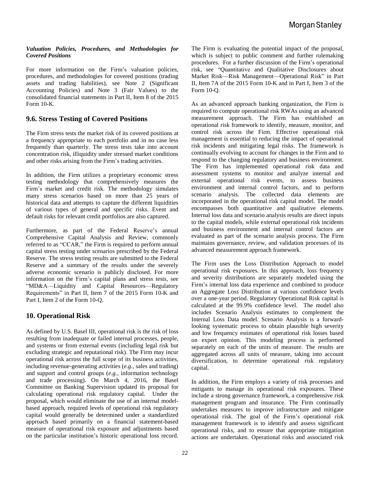#### *Valuation Policies, Procedures, and Methodologies for Covered Positions*

For more information on the Firm's valuation policies, procedures, and methodologies for covered positions (trading assets and trading liabilities), see Note 2 (Significant Accounting Policies) and Note 3 (Fair Values) to the consolidated financial statements in Part II, Item 8 of the 2015 Form 10-K.

# **9.6. Stress Testing of Covered Positions**

The Firm stress tests the market risk of its covered positions at a frequency appropriate to each portfolio and in no case less frequently than quarterly. The stress tests take into account concentration risk, illiquidity under stressed market conditions and other risks arising from the Firm's trading activities.

In addition, the Firm utilizes a proprietary economic stress testing methodology that comprehensively measures the Firm's market and credit risk. The methodology simulates many stress scenarios based on more than 25 years of historical data and attempts to capture the different liquidities of various types of general and specific risks. Event and default risks for relevant credit portfolios are also captured.

Furthermore, as part of the Federal Reserve's annual Comprehensive Capital Analysis and Review, commonly referred to as "CCAR," the Firm is required to perform annual capital stress testing under scenarios prescribed by the Federal Reserve. The stress testing results are submitted to the Federal Reserve and a summary of the results under the severely adverse economic scenario is publicly disclosed. For more information on the Firm's capital plans and stress tests, see "MD&A—Liquidity and Capital Resources—Regulatory Requirements" in Part II, Item 7 of the 2015 Form 10-K and Part I, Item 2 of the Form 10-Q.

# **10. Operational Risk**

As defined by U.S. Basel III, operational risk is the risk of loss resulting from inadequate or failed internal processes, people, and systems or from external events (including legal risk but excluding strategic and reputational risk). The Firm may incur operational risk across the full scope of its business activities, including revenue-generating activities (*e.g.*, sales and trading) and support and control groups (*e.g.*, information technology and trade processing). On March 4, 2016, the Basel Committee on Banking Supervision updated its proposal for calculating operational risk regulatory capital. Under the proposal, which would eliminate the use of an internal modelbased approach, required levels of operational risk regulatory capital would generally be determined under a standardized approach based primarily on a financial statement-based measure of operational risk exposure and adjustments based on the particular institution's historic operational loss record.

The Firm is evaluating the potential impact of the proposal, which is subject to public comment and further rulemaking procedures. For a further discussion of the Firm's operational risk, see "Quantitative and Qualitative Disclosures about Market Risk—Risk Management—Operational Risk" in Part II, Item 7A of the 2015 Form 10-K and in Part I, Item 3 of the Form 10-Q.

As an advanced approach banking organization, the Firm is required to compute operational risk RWAs using an advanced measurement approach. The Firm has established an operational risk framework to identify, measure, monitor, and control risk across the Firm. Effective operational risk management is essential to reducing the impact of operational risk incidents and mitigating legal risks. The framework is continually evolving to account for changes in the Firm and to respond to the changing regulatory and business environment. The Firm has implemented operational risk data and assessment systems to monitor and analyze internal and external operational risk events, to assess business environment and internal control factors, and to perform scenario analysis. The collected data elements are incorporated in the operational risk capital model. The model encompasses both quantitative and qualitative elements. Internal loss data and scenario analysis results are direct inputs to the capital models, while external operational risk incidents and business environment and internal control factors are evaluated as part of the scenario analysis process. The Firm maintains governance, review, and validation processes of its advanced measurement approach framework.

The Firm uses the Loss Distribution Approach to model operational risk exposures. In this approach, loss frequency and severity distributions are separately modeled using the Firm's internal loss data experience and combined to produce an Aggregate Loss Distribution at various confidence levels over a one-year period. Regulatory Operational Risk capital is calculated at the 99.9% confidence level. The model also includes Scenario Analysis estimates to complement the Internal Loss Data model. Scenario Analysis is a forwardlooking systematic process to obtain plausible high severity and low frequency estimates of operational risk losses based on expert opinion. This modeling process is performed separately on each of the units of measure. The results are aggregated across all units of measure, taking into account diversification, to determine operational risk regulatory capital.

In addition, the Firm employs a variety of risk processes and mitigants to manage its operational risk exposures. These include a strong governance framework, a comprehensive risk management program and insurance. The Firm continually undertakes measures to improve infrastructure and mitigate operational risk. The goal of the Firm's operational risk management framework is to identify and assess significant operational risks, and to ensure that appropriate mitigation actions are undertaken. Operational risks and associated risk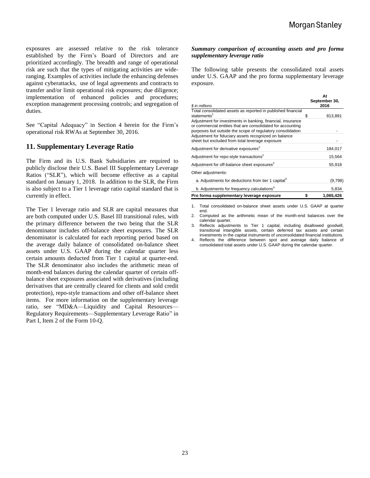exposures are assessed relative to the risk tolerance established by the Firm's Board of Directors and are prioritized accordingly. The breadth and range of operational risk are such that the types of mitigating activities are wideranging. Examples of activities include the enhancing defenses against cyberattacks, use of legal agreements and contracts to transfer and/or limit operational risk exposures; due diligence; implementation of enhanced policies and procedures; exception management processing controls; and segregation of duties.

See "Capital Adequacy" in Section 4 herein for the Firm's operational risk RWAs at September 30, 2016.

# **11. Supplementary Leverage Ratio**

The Firm and its U.S. Bank Subsidiaries are required to publicly disclose their U.S. Basel III Supplementary Leverage Ratios ("SLR"), which will become effective as a capital standard on January 1, 2018. In addition to the SLR, the Firm is also subject to a Tier 1 leverage ratio capital standard that is currently in effect.

The Tier 1 leverage ratio and SLR are capital measures that are both computed under U.S. Basel III transitional rules, with the primary difference between the two being that the SLR denominator includes off-balance sheet exposures. The SLR denominator is calculated for each reporting period based on the average daily balance of consolidated on-balance sheet assets under U.S. GAAP during the calendar quarter less certain amounts deducted from Tier 1 capital at quarter-end. The SLR denominator also includes the arithmetic mean of month-end balances during the calendar quarter of certain offbalance sheet exposures associated with derivatives (including derivatives that are centrally cleared for clients and sold credit protection), repo-style transactions and other off-balance sheet items. For more information on the supplementary leverage ratio, see "MD&A—Liquidity and Capital Resources— Regulatory Requirements—Supplementary Leverage Ratio" in Part I, Item 2 of the Form 10-Q.

#### *Summary comparison of accounting assets and pro forma supplementary leverage ratio*

The following table presents the consolidated total assets under U.S. GAAP and the pro forma supplementary leverage exposure.

|                                                                                                                                                                                          |    | At<br>September 30, |  |
|------------------------------------------------------------------------------------------------------------------------------------------------------------------------------------------|----|---------------------|--|
| \$ in millions                                                                                                                                                                           |    | 2016                |  |
| Total consolidated assets as reported in published financial<br>statements <sup>1</sup>                                                                                                  | S  | 813,891             |  |
| Adjustment for investments in banking, financial, insurance<br>or commercial entities that are consolidated for accounting<br>purposes but outside the scope of regulatory consolidation |    |                     |  |
| Adjustment for fiduciary assets recognized on balance<br>sheet but excluded from total leverage exposure                                                                                 |    |                     |  |
| Adjustment for derivative exposures <sup>2</sup>                                                                                                                                         |    | 184,017             |  |
| Adjustment for repo-style transactions <sup>2</sup>                                                                                                                                      |    | 15,564              |  |
| Adjustment for off-balance sheet exposures <sup>2</sup>                                                                                                                                  |    | 55,918              |  |
| Other adjustments:                                                                                                                                                                       |    |                     |  |
| a. Adjustments for deductions from tier 1 capital <sup>3</sup>                                                                                                                           |    | (9,798)             |  |
| b. Adjustments for frequency calculations <sup>4</sup>                                                                                                                                   |    | 5,834               |  |
| Pro forma supplementary leverage exposure                                                                                                                                                | \$ | 1,065,426           |  |

1. Total consolidated on-balance sheet assets under U.S. GAAP at quarter end.

- 2. Computed as the arithmetic mean of the month-end balances over the calendar quarter.
- 3. Reflects adjustments to Tier 1 capital, including disallowed goodwill, transitional intangible assets, certain deferred tax assets and certain investments in the capital instruments of unconsolidated financial institutions.
- 4. Reflects the difference between spot and average daily balance of consolidated total assets under U.S. GAAP during the calendar quarter.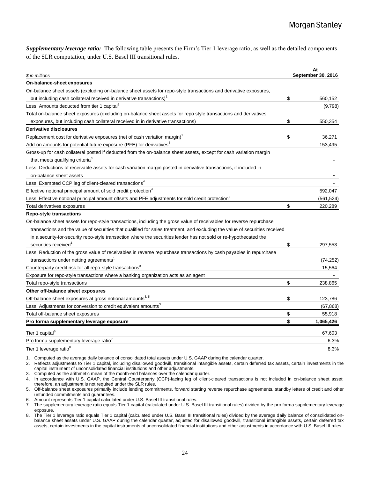*Supplementary leverage ratio:* The following table presents the Firm's Tier 1 leverage ratio, as well as the detailed components of the SLR computation, under U.S. Basel III transitional rules.

| \$ in millions                                                                                                              | At<br>September 30, 2016 |
|-----------------------------------------------------------------------------------------------------------------------------|--------------------------|
| On-balance-sheet exposures                                                                                                  |                          |
| On-balance sheet assets (excluding on-balance sheet assets for repo-style transactions and derivative exposures,            |                          |
| but including cash collateral received in derivative transactions)                                                          | \$<br>560,152            |
| Less: Amounts deducted from tier 1 capital <sup>2</sup>                                                                     | (9,798)                  |
| Total on-balance sheet exposures (excluding on-balance sheet assets for repo style transactions and derivatives             |                          |
| exposures, but including cash collateral received in in derivative transactions)                                            | \$<br>550,354            |
| Derivative disclosures                                                                                                      |                          |
| Replacement cost for derivative exposures (net of cash variation margin)                                                    | \$<br>36,271             |
| Add-on amounts for potential future exposure (PFE) for derivatives <sup>3</sup>                                             | 153,495                  |
| Gross-up for cash collateral posted if deducted from the on-balance sheet assets, except for cash variation margin          |                          |
| that meets qualifying criteria <sup>3</sup>                                                                                 |                          |
| Less: Deductions of receivable assets for cash variation margin posted in derivative transactions, if included in           |                          |
| on-balance sheet assets                                                                                                     |                          |
| Less: Exempted CCP leg of client-cleared transactions <sup>4</sup>                                                          |                          |
| Effective notional principal amount of sold credit protection <sup>3</sup>                                                  | 592,047                  |
| Less: Effective notional principal amount offsets and PFE adjustments for sold credit protection <sup>3</sup>               | (561, 524)               |
| Total derivatives exposures                                                                                                 | \$<br>220,289            |
| <b>Repo-style transactions</b>                                                                                              |                          |
| On-balance sheet assets for repo-style transactions, including the gross value of receivables for reverse repurchase        |                          |
| transactions and the value of securities that qualified for sales treatment, and excluding the value of securities received |                          |
| in a security-for-security repo-style transaction where the securities lender has not sold or re-hypothecated the           |                          |
| securities received                                                                                                         | \$<br>297,553            |
| Less: Reduction of the gross value of receivables in reverse repurchase transactions by cash payables in repurchase         |                          |
| transactions under netting agreements <sup>1</sup>                                                                          | (74, 252)                |
| Counterparty credit risk for all repo-style transactions <sup>3</sup>                                                       | 15,564                   |
| Exposure for repo-style transactions where a banking organization acts as an agent                                          |                          |
| Total repo-style transactions                                                                                               | \$<br>238.865            |
| Other off-balance sheet exposures                                                                                           |                          |
| Off-balance sheet exposures at gross notional amounts <sup>3, 5</sup>                                                       | \$<br>123,786            |
| Less: Adjustments for conversion to credit equivalent amounts <sup>3</sup>                                                  | (67, 868)                |
| Total off-balance sheet exposures                                                                                           | \$<br>55,918             |
| Pro forma supplementary leverage exposure                                                                                   | \$<br>1,065,426          |
| Tier 1 capital <sup>6</sup>                                                                                                 | 67,603                   |
| Pro forma supplementary leverage ratio <sup>7</sup>                                                                         | 6.3%                     |
| Tier 1 leverage ratio <sup>8</sup>                                                                                          | 8.3%                     |
|                                                                                                                             |                          |

1. Computed as the average daily balance of consolidated total assets under U.S. GAAP during the calendar quarter.

2. Reflects adjustments to Tier 1 capital, including disallowed goodwill, transitional intangible assets, certain deferred tax assets, certain investments in the capital instrument of unconsolidated financial institutions and other adjustments.

3. Computed as the arithmetic mean of the month-end balances over the calendar quarter.

4. In accordance with U.S. GAAP, the Central Counterparty (CCP)-facing leg of client-cleared transactions is not included in on-balance sheet asset; therefore, an adjustment is not required under the SLR rules.

5. Off-balance sheet exposures primarily include lending commitments, forward starting reverse repurchase agreements, standby letters of credit and other unfunded commitments and guarantees.

6. Amount represents Tier 1 capital calculated under U.S. Basel III transitional rules.

7. The supplementary leverage ratio equals Tier 1 capital (calculated under U.S. Basel III transitional rules) divided by the pro forma supplementary leverage exposure.

8. The Tier 1 leverage ratio equals Tier 1 capital (calculated under U.S. Basel III transitional rules) divided by the average daily balance of consolidated onbalance sheet assets under U.S. GAAP during the calendar quarter, adjusted for disallowed goodwill, transitional intangible assets, certain deferred tax assets, certain investments in the capital instruments of unconsolidated financial institutions and other adjustments in accordance with U.S. Basel III rules.